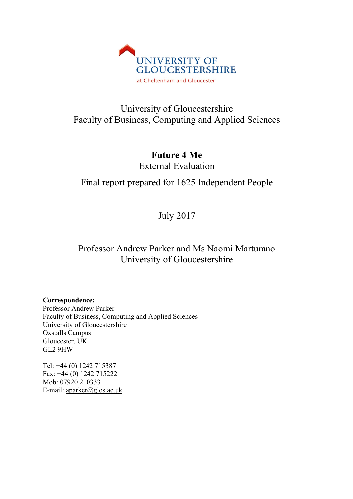

# University of Gloucestershire Faculty of Business, Computing and Applied Sciences

**Future 4 Me** External Evaluation

# Final report prepared for 1625 Independent People

July 2017

# Professor Andrew Parker and Ms Naomi Marturano University of Gloucestershire

**Correspondence:**

Professor Andrew Parker Faculty of Business, Computing and Applied Sciences University of Gloucestershire Oxstalls Campus Gloucester, UK GL2 9HW

Tel: +44 (0) 1242 715387 Fax: +44 (0) 1242 715222 Mob: 07920 210333 E-mail: aparker@glos.ac.uk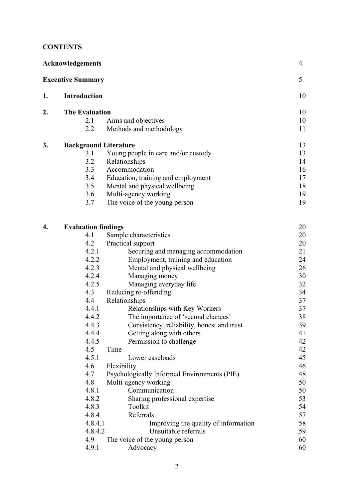# **CONTENTS**

| <b>Acknowledgements</b>  |                              |                                             |    |  |
|--------------------------|------------------------------|---------------------------------------------|----|--|
| <b>Executive Summary</b> |                              |                                             |    |  |
| 1.                       | <b>Introduction</b>          |                                             | 10 |  |
| 2.                       | <b>The Evaluation</b>        |                                             |    |  |
|                          | 2.1                          | Aims and objectives                         | 10 |  |
|                          | 2.2                          | Methods and methodology                     | 11 |  |
| 3.                       | <b>Background Literature</b> |                                             | 13 |  |
|                          | 3.1                          | Young people in care and/or custody         | 13 |  |
|                          | 3.2                          | Relationships                               | 14 |  |
|                          | 3.3                          | Accommodation                               | 16 |  |
|                          | 3.4                          | Education, training and employment          | 17 |  |
|                          | 3.5                          | Mental and physical wellbeing               | 18 |  |
|                          | 3.6                          | Multi-agency working                        | 19 |  |
|                          | 3.7                          | The voice of the young person               | 19 |  |
| 4.                       | <b>Evaluation findings</b>   |                                             | 20 |  |
|                          | 4.1                          | Sample characteristics                      | 20 |  |
|                          | 4.2                          | Practical support                           | 20 |  |
|                          | 4.2.1                        | Securing and managing accommodation         | 21 |  |
|                          | 4.2.2                        | Employment, training and education          | 24 |  |
|                          | 4.2.3                        | Mental and physical wellbeing               | 26 |  |
|                          | 4.2.4                        | Managing money                              | 30 |  |
|                          | 4.2.5                        | Managing everyday life                      | 32 |  |
|                          | 4.3                          | Reducing re-offending                       | 34 |  |
|                          | 4.4                          | Relationships                               | 37 |  |
|                          | 4.4.1                        | Relationships with Key Workers              | 37 |  |
|                          | 4.4.2                        | The importance of 'second chances'          | 38 |  |
|                          | 4.4.3                        | Consistency, reliability, honest and trust  | 39 |  |
|                          | 4.4.4                        | Getting along with others                   | 41 |  |
|                          | 4.4.5                        | Permission to challenge                     | 42 |  |
|                          | 4.5                          | Time                                        | 42 |  |
|                          | 4.5.1                        | Lower caseloads                             | 45 |  |
|                          | 4.6                          | Flexibility                                 | 46 |  |
|                          | 4.7                          | Psychologically Informed Environments (PIE) | 48 |  |
|                          | 4.8                          | Multi-agency working                        | 50 |  |

4.8.1 Communication 50 4.8.2 Sharing professional expertise 53<br>4.8.3 Toolkit 54 4.8.3 Toolkit 54 4.8.4 Referrals 57<br>4.8.4.1 Improving the quality of information 58 4.8.4.1 Improving the quality of information 58 4.8.4.2 Unsuitable referrals 59 4.9 The voice of the young person 60<br>4.9.1 Advocacy 60 Advocacy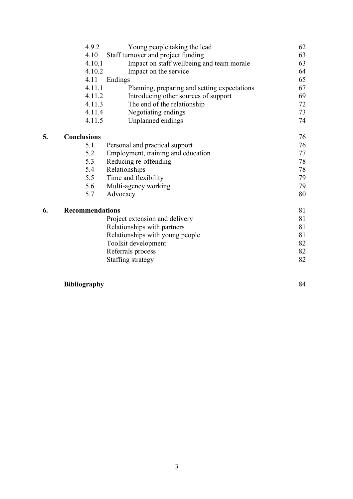|    | 4.9.2                  | Young people taking the lead                 | 62 |
|----|------------------------|----------------------------------------------|----|
|    | 4.10                   | Staff turnover and project funding           | 63 |
|    | 4.10.1                 | Impact on staff wellbeing and team morale    | 63 |
|    | 4.10.2                 | Impact on the service                        | 64 |
|    | 4.11                   | Endings                                      | 65 |
|    | 4.11.1                 | Planning, preparing and setting expectations | 67 |
|    | 4.11.2                 | Introducing other sources of support         | 69 |
|    | 4.11.3                 | The end of the relationship                  | 72 |
|    | 4.11.4                 | Negotiating endings                          | 73 |
|    | 4.11.5                 | Unplanned endings                            | 74 |
| 5. | <b>Conclusions</b>     |                                              | 76 |
|    | 5.1                    | Personal and practical support               | 76 |
|    | 5.2                    | Employment, training and education           | 77 |
|    | 5.3                    | Reducing re-offending                        | 78 |
|    | 5.4                    | Relationships                                | 78 |
|    | 5.5                    | Time and flexibility                         | 79 |
|    | 5.6                    | Multi-agency working                         | 79 |
|    | 5.7                    | Advocacy                                     | 80 |
| 6. | <b>Recommendations</b> |                                              | 81 |
|    |                        | Project extension and delivery               | 81 |
|    |                        | Relationships with partners                  | 81 |
|    |                        | Relationships with young people              | 81 |
|    |                        | Toolkit development                          | 82 |
|    |                        | Referrals process                            | 82 |
|    |                        | Staffing strategy                            | 82 |
|    |                        |                                              |    |

# **Bibliography** 84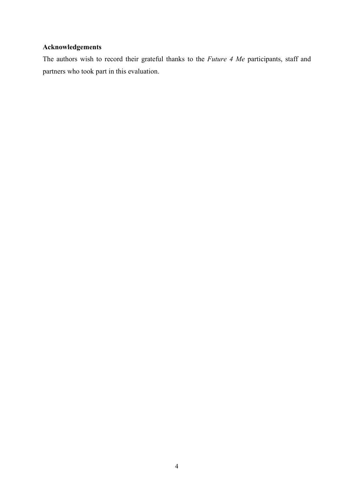# **Acknowledgements**

The authors wish to record their grateful thanks to the *Future 4 Me* participants, staff and partners who took part in this evaluation.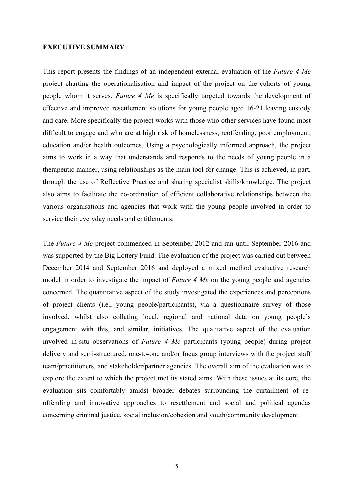### **EXECUTIVE SUMMARY**

This report presents the findings of an independent external evaluation of the *Future 4 Me* project charting the operationalisation and impact of the project on the cohorts of young people whom it serves. *Future 4 Me* is specifically targeted towards the development of effective and improved resettlement solutions for young people aged 16-21 leaving custody and care. More specifically the project works with those who other services have found most difficult to engage and who are at high risk of homelessness, reoffending, poor employment, education and/or health outcomes. Using a psychologically informed approach, the project aims to work in a way that understands and responds to the needs of young people in a therapeutic manner, using relationships as the main tool for change. This is achieved, in part, through the use of Reflective Practice and sharing specialist skills/knowledge. The project also aims to facilitate the co-ordination of efficient collaborative relationships between the various organisations and agencies that work with the young people involved in order to service their everyday needs and entitlements.

The *Future 4 Me* project commenced in September 2012 and ran until September 2016 and was supported by the Big Lottery Fund. The evaluation of the project was carried out between December 2014 and September 2016 and deployed a mixed method evaluative research model in order to investigate the impact of *Future 4 Me* on the young people and agencies concerned. The quantitative aspect of the study investigated the experiences and perceptions of project clients (i.e., young people/participants), via a questionnaire survey of those involved, whilst also collating local, regional and national data on young people's engagement with this, and similar, initiatives. The qualitative aspect of the evaluation involved in-situ observations of *Future 4 Me* participants (young people) during project delivery and semi-structured, one-to-one and/or focus group interviews with the project staff team/practitioners, and stakeholder/partner agencies. The overall aim of the evaluation was to explore the extent to which the project met its stated aims. With these issues at its core, the evaluation sits comfortably amidst broader debates surrounding the curtailment of reoffending and innovative approaches to resettlement and social and political agendas concerning criminal justice, social inclusion/cohesion and youth/community development.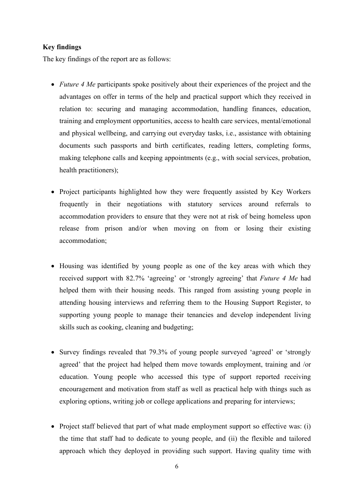# **Key findings**

The key findings of the report are as follows:

- *Future 4 Me* participants spoke positively about their experiences of the project and the advantages on offer in terms of the help and practical support which they received in relation to: securing and managing accommodation, handling finances, education, training and employment opportunities, access to health care services, mental/emotional and physical wellbeing, and carrying out everyday tasks, i.e., assistance with obtaining documents such passports and birth certificates, reading letters, completing forms, making telephone calls and keeping appointments (e.g., with social services, probation, health practitioners);
- Project participants highlighted how they were frequently assisted by Key Workers frequently in their negotiations with statutory services around referrals to accommodation providers to ensure that they were not at risk of being homeless upon release from prison and/or when moving on from or losing their existing accommodation;
- Housing was identified by young people as one of the key areas with which they received support with 82.7% 'agreeing' or 'strongly agreeing' that *Future 4 Me* had helped them with their housing needs. This ranged from assisting young people in attending housing interviews and referring them to the Housing Support Register, to supporting young people to manage their tenancies and develop independent living skills such as cooking, cleaning and budgeting;
- Survey findings revealed that 79.3% of young people surveyed 'agreed' or 'strongly agreed' that the project had helped them move towards employment, training and /or education. Young people who accessed this type of support reported receiving encouragement and motivation from staff as well as practical help with things such as exploring options, writing job or college applications and preparing for interviews;
- Project staff believed that part of what made employment support so effective was: (i) the time that staff had to dedicate to young people, and (ii) the flexible and tailored approach which they deployed in providing such support. Having quality time with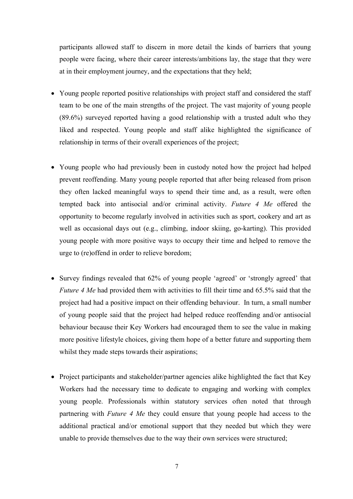participants allowed staff to discern in more detail the kinds of barriers that young people were facing, where their career interests/ambitions lay, the stage that they were at in their employment journey, and the expectations that they held;

- Young people reported positive relationships with project staff and considered the staff team to be one of the main strengths of the project. The vast majority of young people (89.6%) surveyed reported having a good relationship with a trusted adult who they liked and respected. Young people and staff alike highlighted the significance of relationship in terms of their overall experiences of the project;
- Young people who had previously been in custody noted how the project had helped prevent reoffending. Many young people reported that after being released from prison they often lacked meaningful ways to spend their time and, as a result, were often tempted back into antisocial and/or criminal activity. *Future 4 Me* offered the opportunity to become regularly involved in activities such as sport, cookery and art as well as occasional days out (e.g., climbing, indoor skiing, go-karting). This provided young people with more positive ways to occupy their time and helped to remove the urge to (re)offend in order to relieve boredom;
- Survey findings revealed that 62% of young people 'agreed' or 'strongly agreed' that *Future 4 Me* had provided them with activities to fill their time and 65.5% said that the project had had a positive impact on their offending behaviour. In turn, a small number of young people said that the project had helped reduce reoffending and/or antisocial behaviour because their Key Workers had encouraged them to see the value in making more positive lifestyle choices, giving them hope of a better future and supporting them whilst they made steps towards their aspirations;
- Project participants and stakeholder/partner agencies alike highlighted the fact that Key Workers had the necessary time to dedicate to engaging and working with complex young people. Professionals within statutory services often noted that through partnering with *Future 4 Me* they could ensure that young people had access to the additional practical and/or emotional support that they needed but which they were unable to provide themselves due to the way their own services were structured;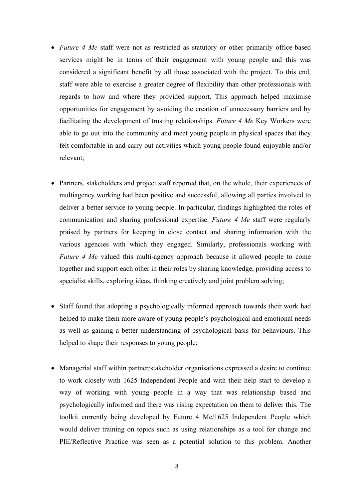- *Future 4 Me* staff were not as restricted as statutory or other primarily office-based services might be in terms of their engagement with young people and this was considered a significant benefit by all those associated with the project. To this end, staff were able to exercise a greater degree of flexibility than other professionals with regards to how and where they provided support. This approach helped maximise opportunities for engagement by avoiding the creation of unnecessary barriers and by facilitating the development of trusting relationships. *Future 4 Me* Key Workers were able to go out into the community and meet young people in physical spaces that they felt comfortable in and carry out activities which young people found enjoyable and/or relevant;
- Partners, stakeholders and project staff reported that, on the whole, their experiences of multiagency working had been positive and successful, allowing all parties involved to deliver a better service to young people. In particular, findings highlighted the roles of communication and sharing professional expertise. *Future 4 Me* staff were regularly praised by partners for keeping in close contact and sharing information with the various agencies with which they engaged. Similarly, professionals working with *Future 4 Me* valued this multi-agency approach because it allowed people to come together and support each other in their roles by sharing knowledge, providing access to specialist skills, exploring ideas, thinking creatively and joint problem solving;
- Staff found that adopting a psychologically informed approach towards their work had helped to make them more aware of young people's psychological and emotional needs as well as gaining a better understanding of psychological basis for behaviours. This helped to shape their responses to young people;
- Managerial staff within partner/stakeholder organisations expressed a desire to continue to work closely with 1625 Independent People and with their help start to develop a way of working with young people in a way that was relationship based and psychologically informed and there was rising expectation on them to deliver this. The toolkit currently being developed by Future 4 Me/1625 Independent People which would deliver training on topics such as using relationships as a tool for change and PIE/Reflective Practice was seen as a potential solution to this problem. Another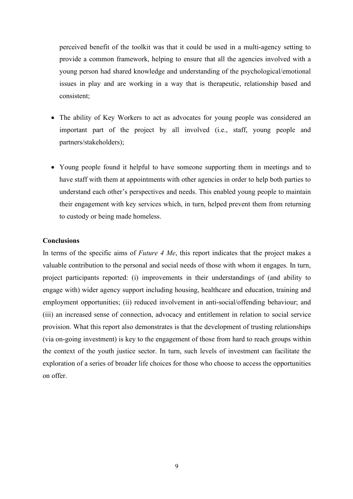perceived benefit of the toolkit was that it could be used in a multi-agency setting to provide a common framework, helping to ensure that all the agencies involved with a young person had shared knowledge and understanding of the psychological/emotional issues in play and are working in a way that is therapeutic, relationship based and consistent;

- The ability of Key Workers to act as advocates for young people was considered an important part of the project by all involved (i.e., staff, young people and partners/stakeholders);
- Young people found it helpful to have someone supporting them in meetings and to have staff with them at appointments with other agencies in order to help both parties to understand each other's perspectives and needs. This enabled young people to maintain their engagement with key services which, in turn, helped prevent them from returning to custody or being made homeless.

### **Conclusions**

In terms of the specific aims of *Future 4 Me*, this report indicates that the project makes a valuable contribution to the personal and social needs of those with whom it engages. In turn, project participants reported: (i) improvements in their understandings of (and ability to engage with) wider agency support including housing, healthcare and education, training and employment opportunities; (ii) reduced involvement in anti-social/offending behaviour; and (iii) an increased sense of connection, advocacy and entitlement in relation to social service provision. What this report also demonstrates is that the development of trusting relationships (via on-going investment) is key to the engagement of those from hard to reach groups within the context of the youth justice sector. In turn, such levels of investment can facilitate the exploration of a series of broader life choices for those who choose to access the opportunities on offer.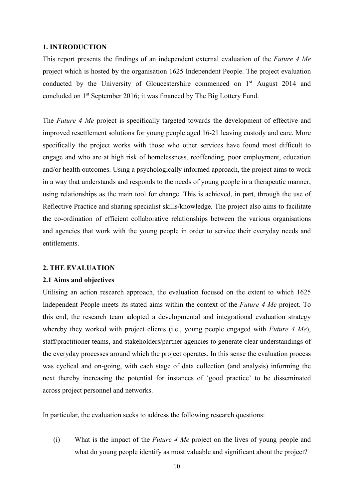#### **1. INTRODUCTION**

This report presents the findings of an independent external evaluation of the *Future 4 Me* project which is hosted by the organisation 1625 Independent People. The project evaluation conducted by the University of Gloucestershire commenced on 1<sup>st</sup> August 2014 and concluded on 1st September 2016; it was financed by The Big Lottery Fund.

The *Future 4 Me* project is specifically targeted towards the development of effective and improved resettlement solutions for young people aged 16-21 leaving custody and care. More specifically the project works with those who other services have found most difficult to engage and who are at high risk of homelessness, reoffending, poor employment, education and/or health outcomes. Using a psychologically informed approach, the project aims to work in a way that understands and responds to the needs of young people in a therapeutic manner, using relationships as the main tool for change. This is achieved, in part, through the use of Reflective Practice and sharing specialist skills/knowledge. The project also aims to facilitate the co-ordination of efficient collaborative relationships between the various organisations and agencies that work with the young people in order to service their everyday needs and entitlements.

#### **2. THE EVALUATION**

#### **2.1 Aims and objectives**

Utilising an action research approach, the evaluation focused on the extent to which 1625 Independent People meets its stated aims within the context of the *Future 4 Me* project. To this end, the research team adopted a developmental and integrational evaluation strategy whereby they worked with project clients (i.e., young people engaged with *Future 4 Me*), staff/practitioner teams, and stakeholders/partner agencies to generate clear understandings of the everyday processes around which the project operates. In this sense the evaluation process was cyclical and on-going, with each stage of data collection (and analysis) informing the next thereby increasing the potential for instances of 'good practice' to be disseminated across project personnel and networks.

In particular, the evaluation seeks to address the following research questions:

(i) What is the impact of the *Future 4 Me* project on the lives of young people and what do young people identify as most valuable and significant about the project?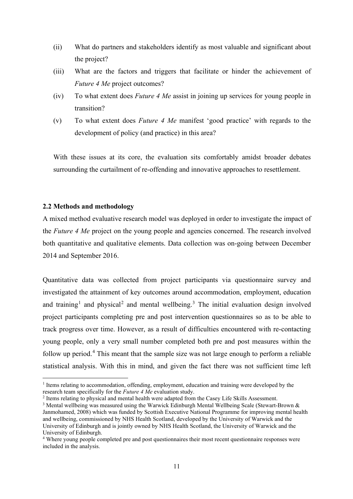- (ii) What do partners and stakeholders identify as most valuable and significant about the project?
- (iii) What are the factors and triggers that facilitate or hinder the achievement of *Future 4 Me* project outcomes?
- (iv) To what extent does *Future 4 Me* assist in joining up services for young people in transition?
- (v) To what extent does *Future 4 Me* manifest 'good practice' with regards to the development of policy (and practice) in this area?

With these issues at its core, the evaluation sits comfortably amidst broader debates surrounding the curtailment of re-offending and innovative approaches to resettlement.

## **2.2 Methods and methodology**

A mixed method evaluative research model was deployed in order to investigate the impact of the *Future 4 Me* project on the young people and agencies concerned. The research involved both quantitative and qualitative elements. Data collection was on-going between December 2014 and September 2016.

Quantitative data was collected from project participants via questionnaire survey and investigated the attainment of key outcomes around accommodation, employment, education and training<sup>[1](#page-10-0)</sup> and physical<sup>[2](#page-10-1)</sup> and mental wellbeing.<sup>[3](#page-10-2)</sup> The initial evaluation design involved project participants completing pre and post intervention questionnaires so as to be able to track progress over time. However, as a result of difficulties encountered with re-contacting young people, only a very small number completed both pre and post measures within the follow up period.<sup>[4](#page-10-3)</sup> This meant that the sample size was not large enough to perform a reliable statistical analysis. With this in mind, and given the fact there was not sufficient time left

<span id="page-10-0"></span><sup>1</sup> Items relating to accommodation, offending, employment, education and training were developed by the research team specifically for the *Future 4 Me* evaluation study.

<span id="page-10-1"></span><sup>&</sup>lt;sup>2</sup> Items relating to physical and mental health were adapted from the Casey Life Skills Assessment.

<span id="page-10-2"></span><sup>&</sup>lt;sup>3</sup> Mental wellbeing was measured using the Warwick Edinburgh Mental Wellbeing Scale (Stewart-Brown & Janmohamed, 2008) which was funded by Scottish Executive National Programme for improving mental health and wellbeing, commissioned by NHS Health Scotland, developed by the University of Warwick and the University of Edinburgh and is jointly owned by NHS Health Scotland, the University of Warwick and the University of Edinburgh.

<span id="page-10-3"></span><sup>4</sup> Where young people completed pre and post questionnaires their most recent questionnaire responses were included in the analysis.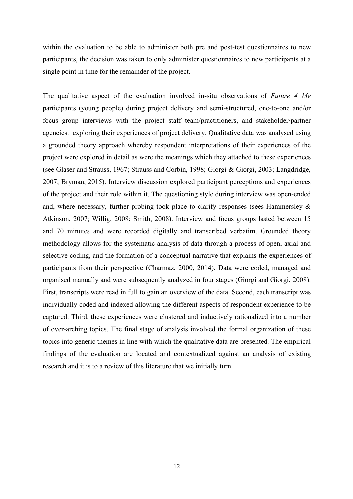within the evaluation to be able to administer both pre and post-test questionnaires to new participants, the decision was taken to only administer questionnaires to new participants at a single point in time for the remainder of the project.

The qualitative aspect of the evaluation involved in-situ observations of *Future 4 Me* participants (young people) during project delivery and semi-structured, one-to-one and/or focus group interviews with the project staff team/practitioners, and stakeholder/partner agencies. exploring their experiences of project delivery. Qualitative data was analysed using a grounded theory approach whereby respondent interpretations of their experiences of the project were explored in detail as were the meanings which they attached to these experiences (see Glaser and Strauss, 1967; Strauss and Corbin, 1998; Giorgi & Giorgi, 2003; Langdridge, 2007; Bryman, 2015). Interview discussion explored participant perceptions and experiences of the project and their role within it. The questioning style during interview was open-ended and, where necessary, further probing took place to clarify responses (sees Hammersley & Atkinson, 2007; Willig, 2008; Smith, 2008). Interview and focus groups lasted between 15 and 70 minutes and were recorded digitally and transcribed verbatim. Grounded theory methodology allows for the systematic analysis of data through a process of open, axial and selective coding, and the formation of a conceptual narrative that explains the experiences of participants from their perspective (Charmaz, 2000, 2014). Data were coded, managed and organised manually and were subsequently analyzed in four stages (Giorgi and Giorgi, 2008). First, transcripts were read in full to gain an overview of the data. Second, each transcript was individually coded and indexed allowing the different aspects of respondent experience to be captured. Third, these experiences were clustered and inductively rationalized into a number of over-arching topics. The final stage of analysis involved the formal organization of these topics into generic themes in line with which the qualitative data are presented. The empirical findings of the evaluation are located and contextualized against an analysis of existing research and it is to a review of this literature that we initially turn.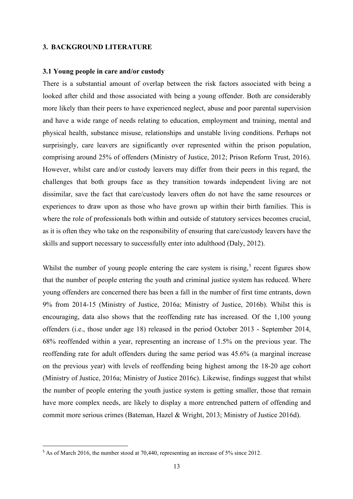### **3. BACKGROUND LITERATURE**

#### **3.1 Young people in care and/or custody**

There is a substantial amount of overlap between the risk factors associated with being a looked after child and those associated with being a young offender. Both are considerably more likely than their peers to have experienced neglect, abuse and poor parental supervision and have a wide range of needs relating to education, employment and training, mental and physical health, substance misuse, relationships and unstable living conditions. Perhaps not surprisingly, care leavers are significantly over represented within the prison population, comprising around 25% of offenders (Ministry of Justice, 2012; Prison Reform Trust, 2016). However, whilst care and/or custody leavers may differ from their peers in this regard, the challenges that both groups face as they transition towards independent living are not dissimilar, save the fact that care/custody leavers often do not have the same resources or experiences to draw upon as those who have grown up within their birth families. This is where the role of professionals both within and outside of statutory services becomes crucial, as it is often they who take on the responsibility of ensuring that care/custody leavers have the skills and support necessary to successfully enter into adulthood (Daly, 2012).

Whilst the number of young people entering the care system is rising,<sup>[5](#page-12-0)</sup> recent figures show that the number of people entering the youth and criminal justice system has reduced. Where young offenders are concerned there has been a fall in the number of first time entrants, down 9% from 2014-15 (Ministry of Justice, 2016a; Ministry of Justice, 2016b). Whilst this is encouraging, data also shows that the reoffending rate has increased. Of the 1,100 young offenders (i.e., those under age 18) released in the period October 2013 - September 2014, 68% reoffended within a year, representing an increase of 1.5% on the previous year. The reoffending rate for adult offenders during the same period was 45.6% (a marginal increase on the previous year) with levels of reoffending being highest among the 18-20 age cohort (Ministry of Justice, 2016a; Ministry of Justice 2016c). Likewise, findings suggest that whilst the number of people entering the youth justice system is getting smaller, those that remain have more complex needs, are likely to display a more entrenched pattern of offending and commit more serious crimes (Bateman, Hazel & Wright, 2013; Ministry of Justice 2016d).

<span id="page-12-0"></span><sup>&</sup>lt;sup>5</sup> As of March 2016, the number stood at 70,440, representing an increase of 5% since 2012.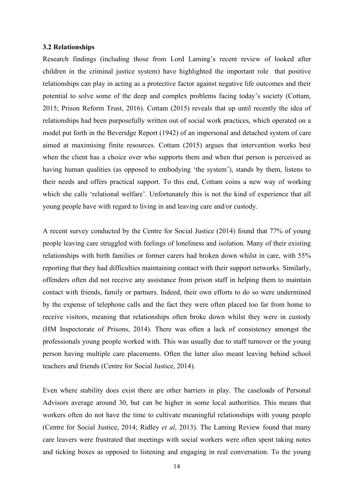#### **3.2 Relationships**

Research findings (including those from Lord Laming's recent review of looked after children in the criminal justice system) have highlighted the important role that positive relationships can play in acting as a protective factor against negative life outcomes and their potential to solve some of the deep and complex problems facing today's society (Cottam, 2015; Prison Reform Trust, 2016). Cottam (2015) reveals that up until recently the idea of relationships had been purposefully written out of social work practices, which operated on a model put forth in the Beveridge Report (1942) of an impersonal and detached system of care aimed at maximising finite resources. Cottam (2015) argues that intervention works best when the client has a choice over who supports them and when that person is perceived as having human qualities (as opposed to embodying 'the system'), stands by them, listens to their needs and offers practical support. To this end, Cottam coins a new way of working which she calls 'relational welfare'. Unfortunately this is not the kind of experience that all young people have with regard to living in and leaving care and/or custody.

A recent survey conducted by the Centre for Social Justice (2014) found that 77% of young people leaving care struggled with feelings of loneliness and isolation. Many of their existing relationships with birth families or former carers had broken down whilst in care, with 55% reporting that they had difficulties maintaining contact with their support networks. Similarly, offenders often did not receive any assistance from prison staff in helping them to maintain contact with friends, family or partners. Indeed, their own efforts to do so were undermined by the expense of telephone calls and the fact they were often placed too far from home to receive visitors, meaning that relationships often broke down whilst they were in custody (HM Inspectorate of Prisons, 2014). There was often a lack of consistency amongst the professionals young people worked with. This was usually due to staff turnover or the young person having multiple care placements. Often the latter also meant leaving behind school teachers and friends (Centre for Social Justice, 2014).

Even where stability does exist there are other barriers in play. The caseloads of Personal Advisors average around 30, but can be higher in some local authorities. This means that workers often do not have the time to cultivate meaningful relationships with young people (Centre for Social Justice, 2014; Ridley *et al*, 2013). The Laming Review found that many care leavers were frustrated that meetings with social workers were often spent taking notes and ticking boxes as opposed to listening and engaging in real conversation. To the young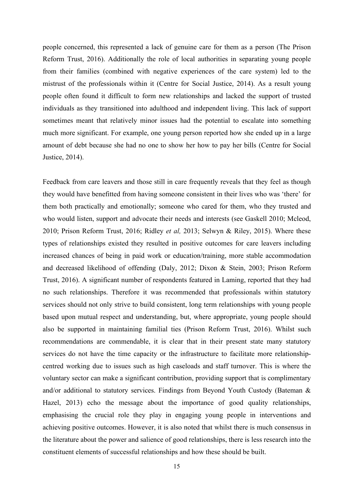people concerned, this represented a lack of genuine care for them as a person (The Prison Reform Trust, 2016). Additionally the role of local authorities in separating young people from their families (combined with negative experiences of the care system) led to the mistrust of the professionals within it (Centre for Social Justice, 2014). As a result young people often found it difficult to form new relationships and lacked the support of trusted individuals as they transitioned into adulthood and independent living. This lack of support sometimes meant that relatively minor issues had the potential to escalate into something much more significant. For example, one young person reported how she ended up in a large amount of debt because she had no one to show her how to pay her bills (Centre for Social Justice, 2014).

Feedback from care leavers and those still in care frequently reveals that they feel as though they would have benefitted from having someone consistent in their lives who was 'there' for them both practically and emotionally; someone who cared for them, who they trusted and who would listen, support and advocate their needs and interests (see Gaskell 2010; Mcleod, 2010; Prison Reform Trust, 2016; Ridley *et al,* 2013; Selwyn & Riley, 2015). Where these types of relationships existed they resulted in positive outcomes for care leavers including increased chances of being in paid work or education/training, more stable accommodation and decreased likelihood of offending (Daly, 2012; Dixon & Stein, 2003; Prison Reform Trust, 2016). A significant number of respondents featured in Laming, reported that they had no such relationships. Therefore it was recommended that professionals within statutory services should not only strive to build consistent, long term relationships with young people based upon mutual respect and understanding, but, where appropriate, young people should also be supported in maintaining familial ties (Prison Reform Trust, 2016). Whilst such recommendations are commendable, it is clear that in their present state many statutory services do not have the time capacity or the infrastructure to facilitate more relationshipcentred working due to issues such as high caseloads and staff turnover. This is where the voluntary sector can make a significant contribution, providing support that is complimentary and/or additional to statutory services. Findings from Beyond Youth Custody (Bateman & Hazel, 2013) echo the message about the importance of good quality relationships, emphasising the crucial role they play in engaging young people in interventions and achieving positive outcomes. However, it is also noted that whilst there is much consensus in the literature about the power and salience of good relationships, there is less research into the constituent elements of successful relationships and how these should be built.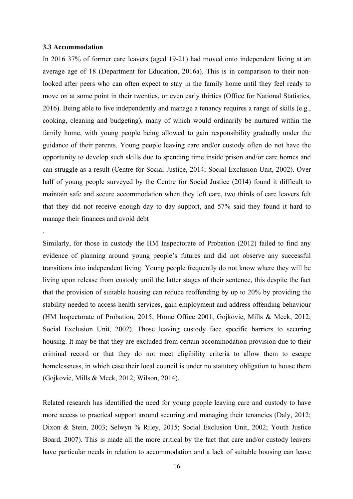#### **3.3 Accommodation**

.

In 2016 37% of former care leavers (aged 19-21) had moved onto independent living at an average age of 18 (Department for Education, 2016a). This is in comparison to their nonlooked after peers who can often expect to stay in the family home until they feel ready to move on at some point in their twenties, or even early thirties (Office for National Statistics, 2016). Being able to live independently and manage a tenancy requires a range of skills (e.g., cooking, cleaning and budgeting), many of which would ordinarily be nurtured within the family home, with young people being allowed to gain responsibility gradually under the guidance of their parents. Young people leaving care and/or custody often do not have the opportunity to develop such skills due to spending time inside prison and/or care homes and can struggle as a result (Centre for Social Justice, 2014; Social Exclusion Unit, 2002). Over half of young people surveyed by the Centre for Social Justice (2014) found it difficult to maintain safe and secure accommodation when they left care, two thirds of care leavers felt that they did not receive enough day to day support, and 57% said they found it hard to manage their finances and avoid debt

Similarly, for those in custody the HM Inspectorate of Probation (2012) failed to find any evidence of planning around young people's futures and did not observe any successful transitions into independent living. Young people frequently do not know where they will be living upon release from custody until the latter stages of their sentence, this despite the fact that the provision of suitable housing can reduce reoffending by up to 20% by providing the stability needed to access health services, gain employment and address offending behaviour (HM Inspectorate of Probation, 2015; Home Office 2001; Gojkovic, Mills & Meek, 2012; Social Exclusion Unit, 2002). Those leaving custody face specific barriers to securing housing. It may be that they are excluded from certain accommodation provision due to their criminal record or that they do not meet eligibility criteria to allow them to escape homelessness, in which case their local council is under no statutory obligation to house them (Gojkovic, Mills & Meek, 2012; Wilson, 2014).

Related research has identified the need for young people leaving care and custody to have more access to practical support around securing and managing their tenancies (Daly, 2012; Dixon & Stein, 2003; Selwyn % Riley, 2015; Social Exclusion Unit, 2002; Youth Justice Board, 2007). This is made all the more critical by the fact that care and/or custody leavers have particular needs in relation to accommodation and a lack of suitable housing can leave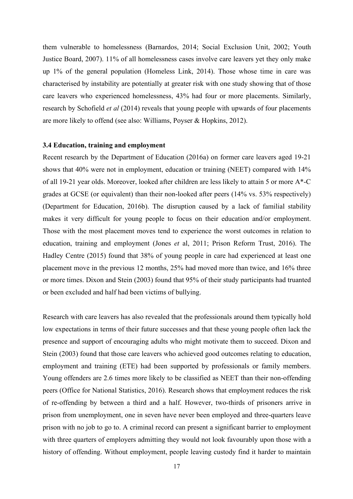them vulnerable to homelessness (Barnardos, 2014; Social Exclusion Unit, 2002; Youth Justice Board, 2007). 11% of all homelessness cases involve care leavers yet they only make up 1% of the general population (Homeless Link, 2014). Those whose time in care was characterised by instability are potentially at greater risk with one study showing that of those care leavers who experienced homelessness, 43% had four or more placements. Similarly, research by Schofield *et al* (2014) reveals that young people with upwards of four placements are more likely to offend (see also: Williams, Poyser & Hopkins, 2012).

#### **3.4 Education, training and employment**

Recent research by the Department of Education (2016a) on former care leavers aged 19-21 shows that 40% were not in employment, education or training (NEET) compared with 14% of all 19-21 year olds. Moreover, looked after children are less likely to attain 5 or more A\*-C grades at GCSE (or equivalent) than their non-looked after peers (14% vs. 53% respectively) (Department for Education, 2016b). The disruption caused by a lack of familial stability makes it very difficult for young people to focus on their education and/or employment. Those with the most placement moves tend to experience the worst outcomes in relation to education, training and employment (Jones *et* al, 2011; Prison Reform Trust, 2016). The Hadley Centre (2015) found that 38% of young people in care had experienced at least one placement move in the previous 12 months, 25% had moved more than twice, and 16% three or more times. Dixon and Stein (2003) found that 95% of their study participants had truanted or been excluded and half had been victims of bullying.

Research with care leavers has also revealed that the professionals around them typically hold low expectations in terms of their future successes and that these young people often lack the presence and support of encouraging adults who might motivate them to succeed. Dixon and Stein (2003) found that those care leavers who achieved good outcomes relating to education, employment and training (ETE) had been supported by professionals or family members. Young offenders are 2.6 times more likely to be classified as NEET than their non-offending peers (Office for National Statistics, 2016). Research shows that employment reduces the risk of re-offending by between a third and a half. However, two-thirds of prisoners arrive in prison from unemployment, one in seven have never been employed and three-quarters leave prison with no job to go to. A criminal record can present a significant barrier to employment with three quarters of employers admitting they would not look favourably upon those with a history of offending. Without employment, people leaving custody find it harder to maintain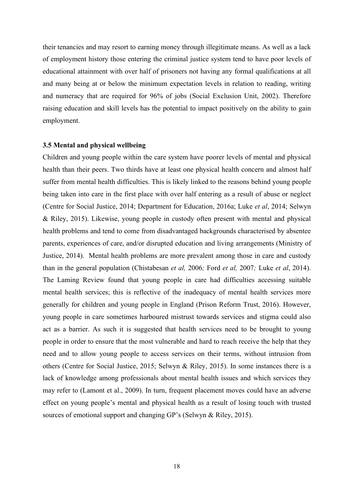their tenancies and may resort to earning money through illegitimate means. As well as a lack of employment history those entering the criminal justice system tend to have poor levels of educational attainment with over half of prisoners not having any formal qualifications at all and many being at or below the minimum expectation levels in relation to reading, writing and numeracy that are required for 96% of jobs (Social Exclusion Unit, 2002). Therefore raising education and skill levels has the potential to impact positively on the ability to gain employment.

#### **3.5 Mental and physical wellbeing**

Children and young people within the care system have poorer levels of mental and physical health than their peers. Two thirds have at least one physical health concern and almost half suffer from mental health difficulties. This is likely linked to the reasons behind young people being taken into care in the first place with over half entering as a result of abuse or neglect (Centre for Social Justice, 2014; Department for Education, 2016a; Luke *et al*, 2014; Selwyn & Riley, 2015). Likewise, young people in custody often present with mental and physical health problems and tend to come from disadvantaged backgrounds characterised by absentee parents, experiences of care, and/or disrupted education and living arrangements (Ministry of Justice, 2014). Mental health problems are more prevalent among those in care and custody than in the general population (Chistabesan *et al,* 2006*;* Ford *et al,* 2007*;* Luke *et al*, 2014). The Laming Review found that young people in care had difficulties accessing suitable mental health services; this is reflective of the inadequacy of mental health services more generally for children and young people in England (Prison Reform Trust, 2016). However, young people in care sometimes harboured mistrust towards services and stigma could also act as a barrier. As such it is suggested that health services need to be brought to young people in order to ensure that the most vulnerable and hard to reach receive the help that they need and to allow young people to access services on their terms, without intrusion from others (Centre for Social Justice, 2015; Selwyn & Riley, 2015). In some instances there is a lack of knowledge among professionals about mental health issues and which services they may refer to (Lamont et al., 2009). In turn, frequent placement moves could have an adverse effect on young people's mental and physical health as a result of losing touch with trusted sources of emotional support and changing GP's (Selwyn & Riley, 2015).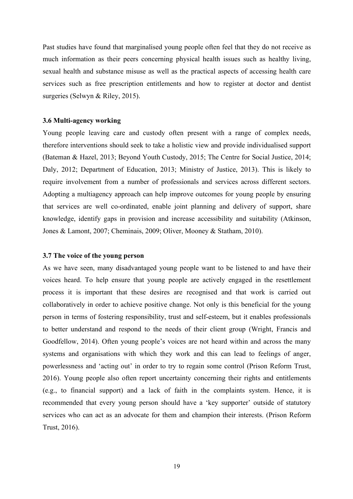Past studies have found that marginalised young people often feel that they do not receive as much information as their peers concerning physical health issues such as healthy living, sexual health and substance misuse as well as the practical aspects of accessing health care services such as free prescription entitlements and how to register at doctor and dentist surgeries (Selwyn & Riley, 2015).

### **3.6 Multi-agency working**

Young people leaving care and custody often present with a range of complex needs, therefore interventions should seek to take a holistic view and provide individualised support (Bateman & Hazel, 2013; Beyond Youth Custody, 2015; The Centre for Social Justice, 2014; Daly, 2012; Department of Education, 2013; Ministry of Justice, 2013). This is likely to require involvement from a number of professionals and services across different sectors. Adopting a multiagency approach can help improve outcomes for young people by ensuring that services are well co-ordinated, enable joint planning and delivery of support, share knowledge, identify gaps in provision and increase accessibility and suitability (Atkinson, Jones & Lamont, 2007; Cheminais, 2009; Oliver, Mooney & Statham, 2010).

#### **3.7 The voice of the young person**

As we have seen, many disadvantaged young people want to be listened to and have their voices heard. To help ensure that young people are actively engaged in the resettlement process it is important that these desires are recognised and that work is carried out collaboratively in order to achieve positive change. Not only is this beneficial for the young person in terms of fostering responsibility, trust and self-esteem, but it enables professionals to better understand and respond to the needs of their client group (Wright, Francis and Goodfellow, 2014). Often young people's voices are not heard within and across the many systems and organisations with which they work and this can lead to feelings of anger, powerlessness and 'acting out' in order to try to regain some control (Prison Reform Trust, 2016). Young people also often report uncertainty concerning their rights and entitlements (e.g., to financial support) and a lack of faith in the complaints system. Hence, it is recommended that every young person should have a 'key supporter' outside of statutory services who can act as an advocate for them and champion their interests. (Prison Reform Trust, 2016).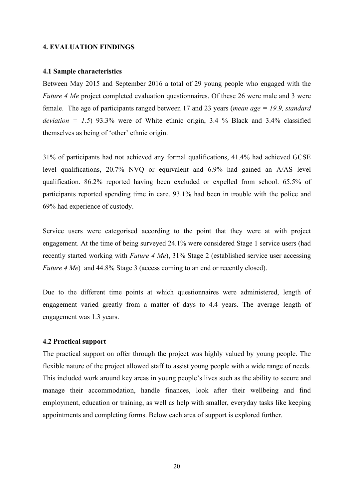### **4. EVALUATION FINDINGS**

#### **4.1 Sample characteristics**

Between May 2015 and September 2016 a total of 29 young people who engaged with the *Future 4 Me* project completed evaluation questionnaires. Of these 26 were male and 3 were female. The age of participants ranged between 17 and 23 years (*mean age = 19.9, standard deviation* =  $1.5$ ) 93.3% were of White ethnic origin, 3.4 % Black and 3.4% classified themselves as being of 'other' ethnic origin.

31% of participants had not achieved any formal qualifications, 41.4% had achieved GCSE level qualifications, 20.7% NVQ or equivalent and 6.9% had gained an A/AS level qualification. 86.2% reported having been excluded or expelled from school. 65.5% of participants reported spending time in care. 93.1% had been in trouble with the police and 69% had experience of custody.

Service users were categorised according to the point that they were at with project engagement. At the time of being surveyed 24.1% were considered Stage 1 service users (had recently started working with *Future 4 Me*), 31% Stage 2 (established service user accessing *Future 4 Me*) and 44.8% Stage 3 (access coming to an end or recently closed).

Due to the different time points at which questionnaires were administered, length of engagement varied greatly from a matter of days to 4.4 years. The average length of engagement was 1.3 years.

## **4.2 Practical support**

The practical support on offer through the project was highly valued by young people. The flexible nature of the project allowed staff to assist young people with a wide range of needs. This included work around key areas in young people's lives such as the ability to secure and manage their accommodation, handle finances, look after their wellbeing and find employment, education or training, as well as help with smaller, everyday tasks like keeping appointments and completing forms. Below each area of support is explored further.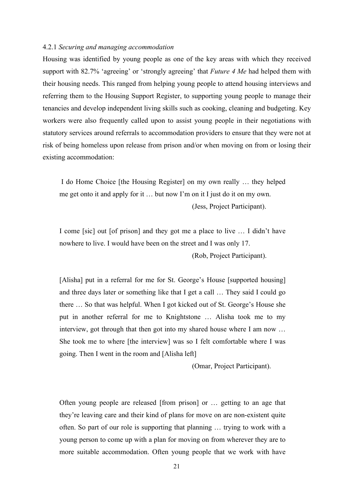### 4.2.1 *Securing and managing accommodation*

Housing was identified by young people as one of the key areas with which they received support with 82.7% 'agreeing' or 'strongly agreeing' that *Future 4 Me* had helped them with their housing needs. This ranged from helping young people to attend housing interviews and referring them to the Housing Support Register, to supporting young people to manage their tenancies and develop independent living skills such as cooking, cleaning and budgeting. Key workers were also frequently called upon to assist young people in their negotiations with statutory services around referrals to accommodation providers to ensure that they were not at risk of being homeless upon release from prison and/or when moving on from or losing their existing accommodation:

I do Home Choice [the Housing Register] on my own really … they helped me get onto it and apply for it … but now I'm on it I just do it on my own.

(Jess, Project Participant).

I come [sic] out [of prison] and they got me a place to live … I didn't have nowhere to live. I would have been on the street and I was only 17. (Rob, Project Participant).

[Alisha] put in a referral for me for St. George's House [supported housing] and three days later or something like that I get a call … They said I could go there … So that was helpful. When I got kicked out of St. George's House she put in another referral for me to Knightstone … Alisha took me to my interview, got through that then got into my shared house where I am now … She took me to where [the interview] was so I felt comfortable where I was going. Then I went in the room and [Alisha left]

(Omar, Project Participant).

Often young people are released [from prison] or … getting to an age that they're leaving care and their kind of plans for move on are non-existent quite often. So part of our role is supporting that planning … trying to work with a young person to come up with a plan for moving on from wherever they are to more suitable accommodation. Often young people that we work with have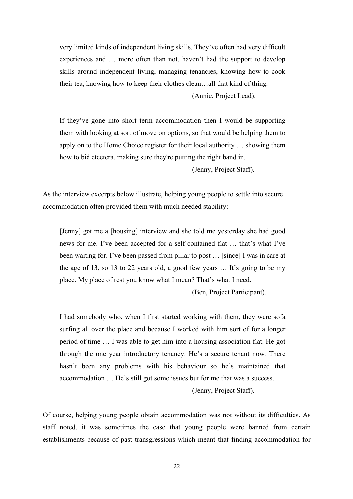very limited kinds of independent living skills. They've often had very difficult experiences and … more often than not, haven't had the support to develop skills around independent living, managing tenancies, knowing how to cook their tea, knowing how to keep their clothes clean…all that kind of thing.

(Annie, Project Lead).

If they've gone into short term accommodation then I would be supporting them with looking at sort of move on options, so that would be helping them to apply on to the Home Choice register for their local authority … showing them how to bid etcetera, making sure they're putting the right band in.

(Jenny, Project Staff).

As the interview excerpts below illustrate, helping young people to settle into secure accommodation often provided them with much needed stability:

[Jenny] got me a [housing] interview and she told me yesterday she had good news for me. I've been accepted for a self-contained flat … that's what I've been waiting for. I've been passed from pillar to post … [since] I was in care at the age of 13, so 13 to 22 years old, a good few years … It's going to be my place. My place of rest you know what I mean? That's what I need.

(Ben, Project Participant).

I had somebody who, when I first started working with them, they were sofa surfing all over the place and because I worked with him sort of for a longer period of time … I was able to get him into a housing association flat. He got through the one year introductory tenancy. He's a secure tenant now. There hasn't been any problems with his behaviour so he's maintained that accommodation … He's still got some issues but for me that was a success.

(Jenny, Project Staff).

Of course, helping young people obtain accommodation was not without its difficulties. As staff noted, it was sometimes the case that young people were banned from certain establishments because of past transgressions which meant that finding accommodation for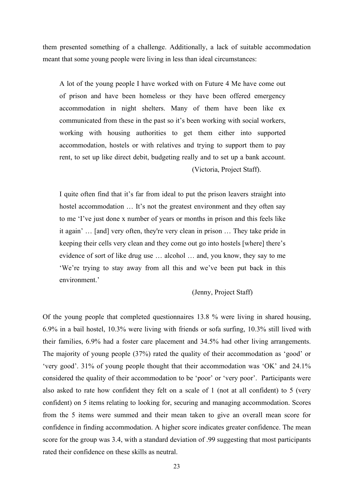them presented something of a challenge. Additionally, a lack of suitable accommodation meant that some young people were living in less than ideal circumstances:

A lot of the young people I have worked with on Future 4 Me have come out of prison and have been homeless or they have been offered emergency accommodation in night shelters. Many of them have been like ex communicated from these in the past so it's been working with social workers, working with housing authorities to get them either into supported accommodation, hostels or with relatives and trying to support them to pay rent, to set up like direct debit, budgeting really and to set up a bank account. (Victoria, Project Staff).

I quite often find that it's far from ideal to put the prison leavers straight into hostel accommodation ... It's not the greatest environment and they often say to me 'I've just done x number of years or months in prison and this feels like it again' … [and] very often, they're very clean in prison … They take pride in keeping their cells very clean and they come out go into hostels [where] there's evidence of sort of like drug use … alcohol … and, you know, they say to me 'We're trying to stay away from all this and we've been put back in this environment.'

(Jenny, Project Staff)

Of the young people that completed questionnaires 13.8 % were living in shared housing, 6.9% in a bail hostel, 10.3% were living with friends or sofa surfing, 10.3% still lived with their families, 6.9% had a foster care placement and 34.5% had other living arrangements. The majority of young people (37%) rated the quality of their accommodation as 'good' or 'very good'. 31% of young people thought that their accommodation was 'OK' and 24.1% considered the quality of their accommodation to be 'poor' or 'very poor'. Participants were also asked to rate how confident they felt on a scale of 1 (not at all confident) to 5 (very confident) on 5 items relating to looking for, securing and managing accommodation. Scores from the 5 items were summed and their mean taken to give an overall mean score for confidence in finding accommodation. A higher score indicates greater confidence. The mean score for the group was 3.4, with a standard deviation of .99 suggesting that most participants rated their confidence on these skills as neutral.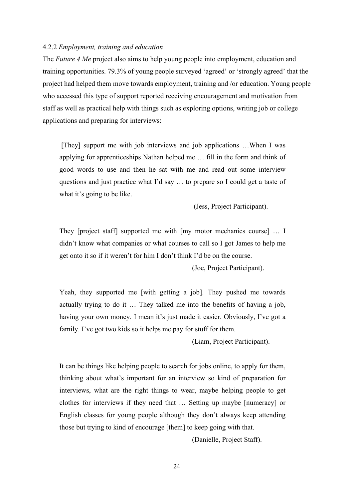### 4.2.2 *Employment, training and education*

The *Future 4 Me* project also aims to help young people into employment, education and training opportunities. 79.3% of young people surveyed 'agreed' or 'strongly agreed' that the project had helped them move towards employment, training and /or education. Young people who accessed this type of support reported receiving encouragement and motivation from staff as well as practical help with things such as exploring options, writing job or college applications and preparing for interviews:

[They] support me with job interviews and job applications …When I was applying for apprenticeships Nathan helped me … fill in the form and think of good words to use and then he sat with me and read out some interview questions and just practice what I'd say … to prepare so I could get a taste of what it's going to be like.

(Jess, Project Participant).

They [project staff] supported me with [my motor mechanics course] … I didn't know what companies or what courses to call so I got James to help me get onto it so if it weren't for him I don't think I'd be on the course.

(Joe, Project Participant).

Yeah, they supported me [with getting a job]. They pushed me towards actually trying to do it … They talked me into the benefits of having a job, having your own money. I mean it's just made it easier. Obviously, I've got a family. I've got two kids so it helps me pay for stuff for them.

(Liam, Project Participant).

It can be things like helping people to search for jobs online, to apply for them, thinking about what's important for an interview so kind of preparation for interviews, what are the right things to wear, maybe helping people to get clothes for interviews if they need that … Setting up maybe [numeracy] or English classes for young people although they don't always keep attending those but trying to kind of encourage [them] to keep going with that.

(Danielle, Project Staff).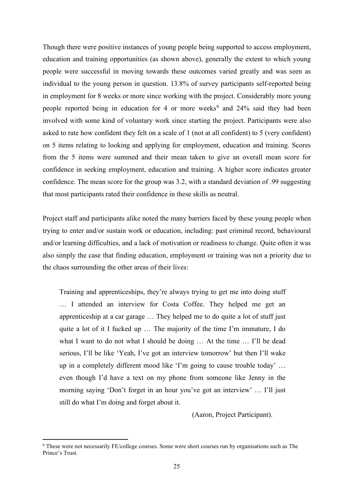Though there were positive instances of young people being supported to access employment, education and training opportunities (as shown above), generally the extent to which young people were successful in moving towards these outcomes varied greatly and was seen as individual to the young person in question. 13.8% of survey participants self-reported being in employment for 8 weeks or more since working with the project. Considerably more young people reported being in education for 4 or more weeks<sup>[6](#page-24-0)</sup> and 24% said they had been involved with some kind of voluntary work since starting the project. Participants were also asked to rate how confident they felt on a scale of 1 (not at all confident) to 5 (very confident) on 5 items relating to looking and applying for employment, education and training. Scores from the 5 items were summed and their mean taken to give an overall mean score for confidence in seeking employment, education and training. A higher score indicates greater confidence. The mean score for the group was 3.2, with a standard deviation of .99 suggesting that most participants rated their confidence in these skills as neutral.

Project staff and participants alike noted the many barriers faced by these young people when trying to enter and/or sustain work or education, including: past criminal record, behavioural and/or learning difficulties, and a lack of motivation or readiness to change. Quite often it was also simply the case that finding education, employment or training was not a priority due to the chaos surrounding the other areas of their lives:

Training and apprenticeships, they're always trying to get me into doing stuff … I attended an interview for Costa Coffee. They helped me get an apprenticeship at a car garage … They helped me to do quite a lot of stuff just quite a lot of it I fucked up … The majority of the time I'm immature, I do what I want to do not what I should be doing ... At the time ... I'll be dead serious, I'll be like 'Yeah, I've got an interview tomorrow' but then I'll wake up in a completely different mood like 'I'm going to cause trouble today' … even though I'd have a text on my phone from someone like Jenny in the morning saying 'Don't forget in an hour you've got an interview' … I'll just still do what I'm doing and forget about it.

(Aaron, Project Participant).

<span id="page-24-0"></span><sup>6</sup> These were not necessarily FE/college courses. Some were short courses run by organisations such as The Prince's Trust.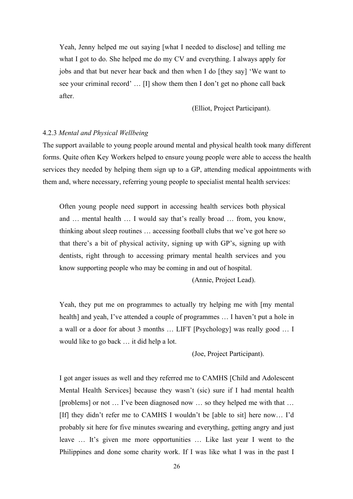Yeah, Jenny helped me out saying [what I needed to disclose] and telling me what I got to do. She helped me do my CV and everything. I always apply for jobs and that but never hear back and then when I do [they say] 'We want to see your criminal record' … [I] show them then I don't get no phone call back after.

(Elliot, Project Participant).

## 4.2.3 *Mental and Physical Wellbeing*

The support available to young people around mental and physical health took many different forms. Quite often Key Workers helped to ensure young people were able to access the health services they needed by helping them sign up to a GP, attending medical appointments with them and, where necessary, referring young people to specialist mental health services:

Often young people need support in accessing health services both physical and … mental health … I would say that's really broad … from, you know, thinking about sleep routines … accessing football clubs that we've got here so that there's a bit of physical activity, signing up with GP's, signing up with dentists, right through to accessing primary mental health services and you know supporting people who may be coming in and out of hospital.

(Annie, Project Lead).

Yeah, they put me on programmes to actually try helping me with [my mental health] and yeah, I've attended a couple of programmes … I haven't put a hole in a wall or a door for about 3 months … LIFT [Psychology] was really good … I would like to go back … it did help a lot.

(Joe, Project Participant).

I got anger issues as well and they referred me to CAMHS [Child and Adolescent Mental Health Services] because they wasn't (sic) sure if I had mental health [problems] or not … I've been diagnosed now … so they helped me with that … [If] they didn't refer me to CAMHS I wouldn't be [able to sit] here now… I'd probably sit here for five minutes swearing and everything, getting angry and just leave … It's given me more opportunities … Like last year I went to the Philippines and done some charity work. If I was like what I was in the past I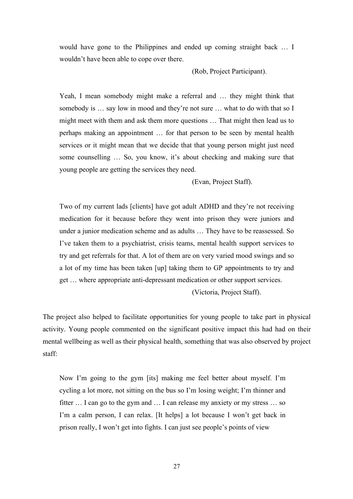would have gone to the Philippines and ended up coming straight back … I wouldn't have been able to cope over there.

(Rob, Project Participant).

Yeah, I mean somebody might make a referral and … they might think that somebody is … say low in mood and they're not sure … what to do with that so I might meet with them and ask them more questions … That might then lead us to perhaps making an appointment … for that person to be seen by mental health services or it might mean that we decide that that young person might just need some counselling … So, you know, it's about checking and making sure that young people are getting the services they need.

(Evan, Project Staff).

Two of my current lads [clients] have got adult ADHD and they're not receiving medication for it because before they went into prison they were juniors and under a junior medication scheme and as adults … They have to be reassessed. So I've taken them to a psychiatrist, crisis teams, mental health support services to try and get referrals for that. A lot of them are on very varied mood swings and so a lot of my time has been taken [up] taking them to GP appointments to try and get … where appropriate anti-depressant medication or other support services.

(Victoria, Project Staff).

The project also helped to facilitate opportunities for young people to take part in physical activity. Young people commented on the significant positive impact this had had on their mental wellbeing as well as their physical health, something that was also observed by project staff:

Now I'm going to the gym [its] making me feel better about myself. I'm cycling a lot more, not sitting on the bus so I'm losing weight; I'm thinner and fitter … I can go to the gym and … I can release my anxiety or my stress … so I'm a calm person, I can relax. [It helps] a lot because I won't get back in prison really, I won't get into fights. I can just see people's points of view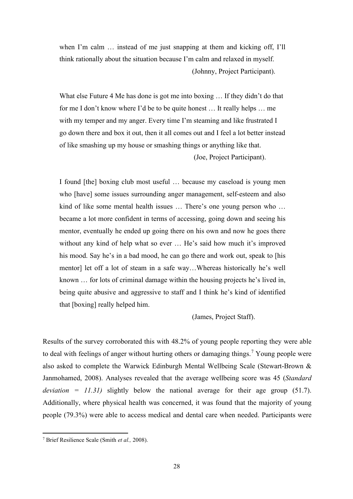when I'm calm … instead of me just snapping at them and kicking off, I'll think rationally about the situation because I'm calm and relaxed in myself. (Johnny, Project Participant).

What else Future 4 Me has done is got me into boxing … If they didn't do that for me I don't know where I'd be to be quite honest … It really helps … me with my temper and my anger. Every time I'm steaming and like frustrated I go down there and box it out, then it all comes out and I feel a lot better instead of like smashing up my house or smashing things or anything like that.

(Joe, Project Participant).

I found [the] boxing club most useful … because my caseload is young men who [have] some issues surrounding anger management, self-esteem and also kind of like some mental health issues … There's one young person who … became a lot more confident in terms of accessing, going down and seeing his mentor, eventually he ended up going there on his own and now he goes there without any kind of help what so ever … He's said how much it's improved his mood. Say he's in a bad mood, he can go there and work out, speak to [his mentor] let off a lot of steam in a safe way…Whereas historically he's well known … for lots of criminal damage within the housing projects he's lived in, being quite abusive and aggressive to staff and I think he's kind of identified that [boxing] really helped him.

(James, Project Staff).

Results of the survey corroborated this with 48.2% of young people reporting they were able to deal with feelings of anger without hurting others or damaging things.<sup>[7](#page-27-0)</sup> Young people were also asked to complete the Warwick Edinburgh Mental Wellbeing Scale (Stewart-Brown & Janmohamed, 2008). Analyses revealed that the average wellbeing score was 45 (*Standard deviation =*  $11.31$ *)* slightly below the national average for their age group (51.7). Additionally, where physical health was concerned, it was found that the majority of young people (79.3%) were able to access medical and dental care when needed. Participants were

<span id="page-27-0"></span><sup>7</sup> Brief Resilience Scale (Smith *et al.,* 2008).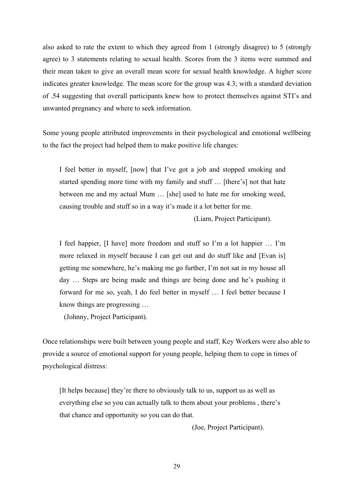also asked to rate the extent to which they agreed from 1 (strongly disagree) to 5 (strongly agree) to 3 statements relating to sexual health. Scores from the 3 items were summed and their mean taken to give an overall mean score for sexual health knowledge. A higher score indicates greater knowledge. The mean score for the group was 4.3; with a standard deviation of .54 suggesting that overall participants knew how to protect themselves against STI's and unwanted pregnancy and where to seek information.

Some young people attributed improvements in their psychological and emotional wellbeing to the fact the project had helped them to make positive life changes:

I feel better in myself, [now] that I've got a job and stopped smoking and started spending more time with my family and stuff … [there's] not that hate between me and my actual Mum … [she] used to hate me for smoking weed, causing trouble and stuff so in a way it's made it a lot better for me.

(Liam, Project Participant).

I feel happier, [I have] more freedom and stuff so I'm a lot happier … I'm more relaxed in myself because I can get out and do stuff like and [Evan is] getting me somewhere, he's making me go further, I'm not sat in my house all day … Steps are being made and things are being done and he's pushing it forward for me so, yeah, I do feel better in myself … I feel better because I know things are progressing …

(Johnny, Project Participant).

Once relationships were built between young people and staff, Key Workers were also able to provide a source of emotional support for young people, helping them to cope in times of psychological distress:

[It helps because] they're there to obviously talk to us, support us as well as everything else so you can actually talk to them about your problems , there's that chance and opportunity so you can do that.

(Joe, Project Participant).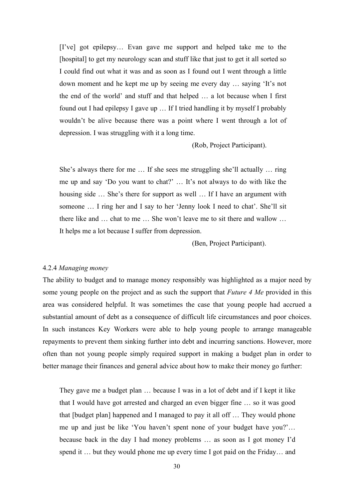[I've] got epilepsy… Evan gave me support and helped take me to the [hospital] to get my neurology scan and stuff like that just to get it all sorted so I could find out what it was and as soon as I found out I went through a little down moment and he kept me up by seeing me every day … saying 'It's not the end of the world' and stuff and that helped … a lot because when I first found out I had epilepsy I gave up … If I tried handling it by myself I probably wouldn't be alive because there was a point where I went through a lot of depression. I was struggling with it a long time.

(Rob, Project Participant).

She's always there for me … If she sees me struggling she'll actually … ring me up and say 'Do you want to chat?' … It's not always to do with like the housing side … She's there for support as well … If I have an argument with someone … I ring her and I say to her 'Jenny look I need to chat'. She'll sit there like and … chat to me … She won't leave me to sit there and wallow … It helps me a lot because I suffer from depression.

(Ben, Project Participant).

#### 4.2.4 *Managing money*

The ability to budget and to manage money responsibly was highlighted as a major need by some young people on the project and as such the support that *Future 4 Me* provided in this area was considered helpful. It was sometimes the case that young people had accrued a substantial amount of debt as a consequence of difficult life circumstances and poor choices. In such instances Key Workers were able to help young people to arrange manageable repayments to prevent them sinking further into debt and incurring sanctions. However, more often than not young people simply required support in making a budget plan in order to better manage their finances and general advice about how to make their money go further:

They gave me a budget plan … because I was in a lot of debt and if I kept it like that I would have got arrested and charged an even bigger fine … so it was good that [budget plan] happened and I managed to pay it all off … They would phone me up and just be like 'You haven't spent none of your budget have you?'… because back in the day I had money problems … as soon as I got money I'd spend it … but they would phone me up every time I got paid on the Friday… and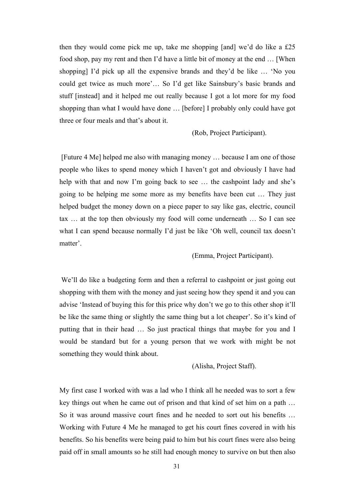then they would come pick me up, take me shopping [and] we'd do like a £25 food shop, pay my rent and then I'd have a little bit of money at the end … [When shopping] I'd pick up all the expensive brands and they'd be like … 'No you could get twice as much more'… So I'd get like Sainsbury's basic brands and stuff [instead] and it helped me out really because I got a lot more for my food shopping than what I would have done … [before] I probably only could have got three or four meals and that's about it.

(Rob, Project Participant).

[Future 4 Me] helped me also with managing money … because I am one of those people who likes to spend money which I haven't got and obviously I have had help with that and now I'm going back to see ... the cashpoint lady and she's going to be helping me some more as my benefits have been cut … They just helped budget the money down on a piece paper to say like gas, electric, council tax … at the top then obviously my food will come underneath … So I can see what I can spend because normally I'd just be like 'Oh well, council tax doesn't matter'.

(Emma, Project Participant).

We'll do like a budgeting form and then a referral to cashpoint or just going out shopping with them with the money and just seeing how they spend it and you can advise 'Instead of buying this for this price why don't we go to this other shop it'll be like the same thing or slightly the same thing but a lot cheaper'. So it's kind of putting that in their head … So just practical things that maybe for you and I would be standard but for a young person that we work with might be not something they would think about.

(Alisha, Project Staff).

My first case I worked with was a lad who I think all he needed was to sort a few key things out when he came out of prison and that kind of set him on a path … So it was around massive court fines and he needed to sort out his benefits … Working with Future 4 Me he managed to get his court fines covered in with his benefits. So his benefits were being paid to him but his court fines were also being paid off in small amounts so he still had enough money to survive on but then also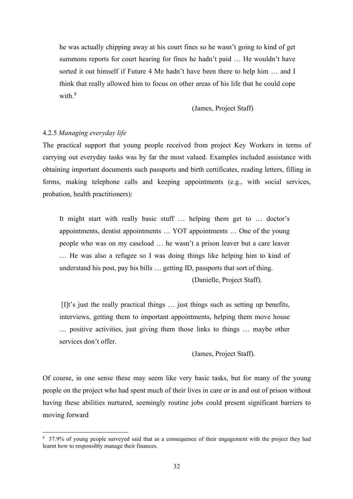he was actually chipping away at his court fines so he wasn't going to kind of get summons reports for court hearing for fines he hadn't paid … He wouldn't have sorted it out himself if Future 4 Me hadn't have been there to help him … and I think that really allowed him to focus on other areas of his life that he could cope with. $8$ 

(James, Project Staff)

## 4.2.5 *Managing everyday life*

The practical support that young people received from project Key Workers in terms of carrying out everyday tasks was by far the most valued. Examples included assistance with obtaining important documents such passports and birth certificates, reading letters, filling in forms, making telephone calls and keeping appointments (e.g., with social services, probation, health practitioners):

It might start with really basic stuff … helping them get to … doctor's appointments, dentist appointments … YOT appointments … One of the young people who was on my caseload … he wasn't a prison leaver but a care leaver … He was also a refugee so I was doing things like helping him to kind of understand his post, pay his bills … getting ID, passports that sort of thing. (Danielle, Project Staff).

[I]t's just the really practical things … just things such as setting up benefits, interviews, getting them to important appointments, helping them move house … positive activities, just giving them those links to things … maybe other services don't offer.

(James, Project Staff).

Of course, in one sense these may seem like very basic tasks, but for many of the young people on the project who had spent much of their lives in care or in and out of prison without having these abilities nurtured, seemingly routine jobs could present significant barriers to moving forward

<span id="page-31-0"></span><sup>8</sup> 37.9% of young people surveyed said that as a consequence of their engagement with the project they had learnt how to responsibly manage their finances.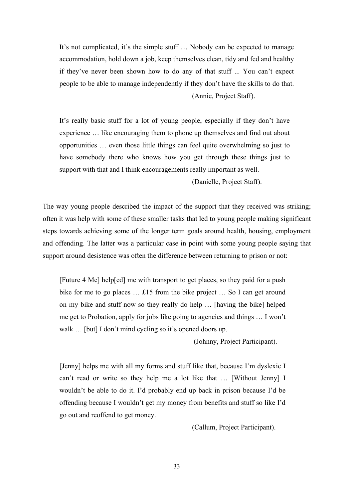It's not complicated, it's the simple stuff … Nobody can be expected to manage accommodation, hold down a job, keep themselves clean, tidy and fed and healthy if they've never been shown how to do any of that stuff ... You can't expect people to be able to manage independently if they don't have the skills to do that. (Annie, Project Staff).

It's really basic stuff for a lot of young people, especially if they don't have experience … like encouraging them to phone up themselves and find out about opportunities … even those little things can feel quite overwhelming so just to have somebody there who knows how you get through these things just to support with that and I think encouragements really important as well.

(Danielle, Project Staff).

The way young people described the impact of the support that they received was striking; often it was help with some of these smaller tasks that led to young people making significant steps towards achieving some of the longer term goals around health, housing, employment and offending. The latter was a particular case in point with some young people saying that support around desistence was often the difference between returning to prison or not:

[Future 4 Me] help[ed] me with transport to get places, so they paid for a push bike for me to go places … £15 from the bike project … So I can get around on my bike and stuff now so they really do help … [having the bike] helped me get to Probation, apply for jobs like going to agencies and things … I won't walk ... [but] I don't mind cycling so it's opened doors up.

(Johnny, Project Participant).

[Jenny] helps me with all my forms and stuff like that, because I'm dyslexic I can't read or write so they help me a lot like that … [Without Jenny] I wouldn't be able to do it. I'd probably end up back in prison because I'd be offending because I wouldn't get my money from benefits and stuff so like I'd go out and reoffend to get money.

(Callum, Project Participant).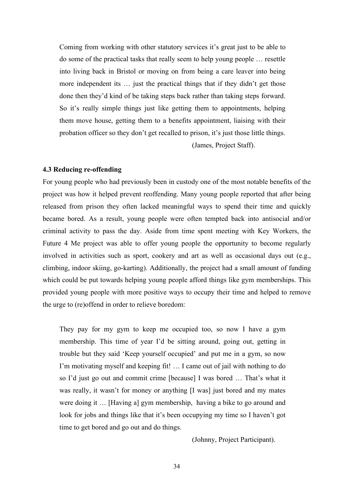Coming from working with other statutory services it's great just to be able to do some of the practical tasks that really seem to help young people … resettle into living back in Bristol or moving on from being a care leaver into being more independent its ... just the practical things that if they didn't get those done then they'd kind of be taking steps back rather than taking steps forward. So it's really simple things just like getting them to appointments, helping them move house, getting them to a benefits appointment, liaising with their probation officer so they don't get recalled to prison, it's just those little things.

(James, Project Staff).

#### **4.3 Reducing re-offending**

For young people who had previously been in custody one of the most notable benefits of the project was how it helped prevent reoffending. Many young people reported that after being released from prison they often lacked meaningful ways to spend their time and quickly became bored. As a result, young people were often tempted back into antisocial and/or criminal activity to pass the day. Aside from time spent meeting with Key Workers, the Future 4 Me project was able to offer young people the opportunity to become regularly involved in activities such as sport, cookery and art as well as occasional days out (e.g., climbing, indoor skiing, go-karting). Additionally, the project had a small amount of funding which could be put towards helping young people afford things like gym memberships. This provided young people with more positive ways to occupy their time and helped to remove the urge to (re)offend in order to relieve boredom:

They pay for my gym to keep me occupied too, so now I have a gym membership. This time of year I'd be sitting around, going out, getting in trouble but they said 'Keep yourself occupied' and put me in a gym, so now I'm motivating myself and keeping fit! … I came out of jail with nothing to do so I'd just go out and commit crime [because] I was bored … That's what it was really, it wasn't for money or anything [I was] just bored and my mates were doing it … [Having a] gym membership, having a bike to go around and look for jobs and things like that it's been occupying my time so I haven't got time to get bored and go out and do things.

(Johnny, Project Participant).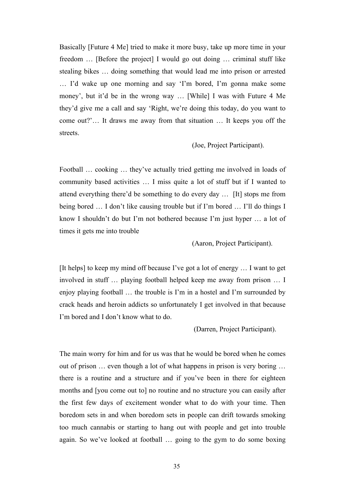Basically [Future 4 Me] tried to make it more busy, take up more time in your freedom … [Before the project] I would go out doing … criminal stuff like stealing bikes … doing something that would lead me into prison or arrested … I'd wake up one morning and say 'I'm bored, I'm gonna make some money', but it'd be in the wrong way … [While] I was with Future 4 Me they'd give me a call and say 'Right, we're doing this today, do you want to come out?'… It draws me away from that situation … It keeps you off the streets.

(Joe, Project Participant).

Football … cooking … they've actually tried getting me involved in loads of community based activities … I miss quite a lot of stuff but if I wanted to attend everything there'd be something to do every day … [It] stops me from being bored … I don't like causing trouble but if I'm bored … I'll do things I know I shouldn't do but I'm not bothered because I'm just hyper … a lot of times it gets me into trouble

(Aaron, Project Participant).

[It helps] to keep my mind off because I've got a lot of energy … I want to get involved in stuff … playing football helped keep me away from prison … I enjoy playing football … the trouble is I'm in a hostel and I'm surrounded by crack heads and heroin addicts so unfortunately I get involved in that because I'm bored and I don't know what to do.

(Darren, Project Participant).

The main worry for him and for us was that he would be bored when he comes out of prison … even though a lot of what happens in prison is very boring … there is a routine and a structure and if you've been in there for eighteen months and [you come out to] no routine and no structure you can easily after the first few days of excitement wonder what to do with your time. Then boredom sets in and when boredom sets in people can drift towards smoking too much cannabis or starting to hang out with people and get into trouble again. So we've looked at football … going to the gym to do some boxing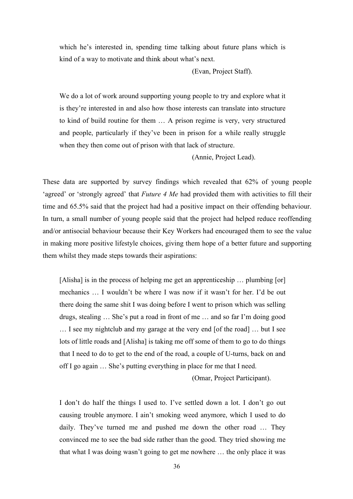which he's interested in, spending time talking about future plans which is kind of a way to motivate and think about what's next.

(Evan, Project Staff).

We do a lot of work around supporting young people to try and explore what it is they're interested in and also how those interests can translate into structure to kind of build routine for them … A prison regime is very, very structured and people, particularly if they've been in prison for a while really struggle when they then come out of prison with that lack of structure.

(Annie, Project Lead).

These data are supported by survey findings which revealed that 62% of young people 'agreed' or 'strongly agreed' that *Future 4 Me* had provided them with activities to fill their time and 65.5% said that the project had had a positive impact on their offending behaviour. In turn, a small number of young people said that the project had helped reduce reoffending and/or antisocial behaviour because their Key Workers had encouraged them to see the value in making more positive lifestyle choices, giving them hope of a better future and supporting them whilst they made steps towards their aspirations:

[Alisha] is in the process of helping me get an apprenticeship … plumbing [or] mechanics … I wouldn't be where I was now if it wasn't for her. I'd be out there doing the same shit I was doing before I went to prison which was selling drugs, stealing … She's put a road in front of me … and so far I'm doing good … I see my nightclub and my garage at the very end [of the road] … but I see lots of little roads and [Alisha] is taking me off some of them to go to do things that I need to do to get to the end of the road, a couple of U-turns, back on and off I go again … She's putting everything in place for me that I need.

(Omar, Project Participant).

I don't do half the things I used to. I've settled down a lot. I don't go out causing trouble anymore. I ain't smoking weed anymore, which I used to do daily. They've turned me and pushed me down the other road … They convinced me to see the bad side rather than the good. They tried showing me that what I was doing wasn't going to get me nowhere … the only place it was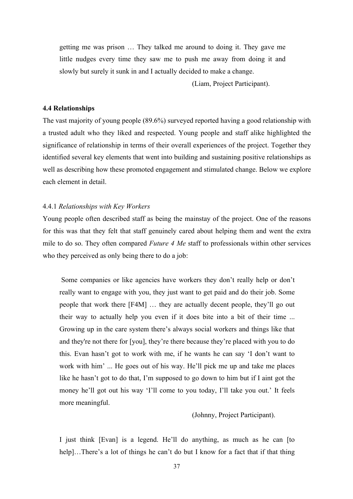getting me was prison … They talked me around to doing it. They gave me little nudges every time they saw me to push me away from doing it and slowly but surely it sunk in and I actually decided to make a change.

(Liam, Project Participant).

# **4.4 Relationships**

The vast majority of young people (89.6%) surveyed reported having a good relationship with a trusted adult who they liked and respected. Young people and staff alike highlighted the significance of relationship in terms of their overall experiences of the project. Together they identified several key elements that went into building and sustaining positive relationships as well as describing how these promoted engagement and stimulated change. Below we explore each element in detail.

## 4.4.1 *Relationships with Key Workers*

Young people often described staff as being the mainstay of the project. One of the reasons for this was that they felt that staff genuinely cared about helping them and went the extra mile to do so. They often compared *Future 4 Me* staff to professionals within other services who they perceived as only being there to do a job:

Some companies or like agencies have workers they don't really help or don't really want to engage with you, they just want to get paid and do their job. Some people that work there [F4M] … they are actually decent people, they'll go out their way to actually help you even if it does bite into a bit of their time ... Growing up in the care system there's always social workers and things like that and they're not there for [you], they're there because they're placed with you to do this. Evan hasn't got to work with me, if he wants he can say 'I don't want to work with him' ... He goes out of his way. He'll pick me up and take me places like he hasn't got to do that, I'm supposed to go down to him but if I aint got the money he'll got out his way 'I'll come to you today, I'll take you out.' It feels more meaningful.

(Johnny, Project Participant).

I just think [Evan] is a legend. He'll do anything, as much as he can [to help]...There's a lot of things he can't do but I know for a fact that if that thing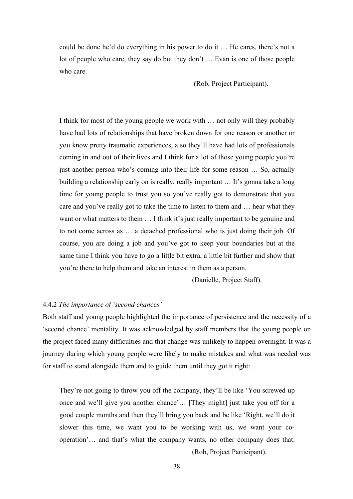could be done he'd do everything in his power to do it … He cares, there's not a lot of people who care, they say do but they don't … Evan is one of those people who care.

(Rob, Project Participant).

I think for most of the young people we work with … not only will they probably have had lots of relationships that have broken down for one reason or another or you know pretty traumatic experiences, also they'll have had lots of professionals coming in and out of their lives and I think for a lot of those young people you're just another person who's coming into their life for some reason … So, actually building a relationship early on is really, really important … It's gonna take a long time for young people to trust you so you've really got to demonstrate that you care and you've really got to take the time to listen to them and … hear what they want or what matters to them ... I think it's just really important to be genuine and to not come across as … a detached professional who is just doing their job. Of course, you are doing a job and you've got to keep your boundaries but at the same time I think you have to go a little bit extra, a little bit further and show that you're there to help them and take an interest in them as a person.

(Danielle, Project Staff).

### 4.4.2 *The importance of 'second chances'*

Both staff and young people highlighted the importance of persistence and the necessity of a 'second chance' mentality. It was acknowledged by staff members that the young people on the project faced many difficulties and that change was unlikely to happen overnight. It was a journey during which young people were likely to make mistakes and what was needed was for staff to stand alongside them and to guide them until they got it right:

They're not going to throw you off the company, they'll be like 'You screwed up once and we'll give you another chance'… [They might] just take you off for a good couple months and then they'll bring you back and be like 'Right, we'll do it slower this time, we want you to be working with us, we want your cooperation'… and that's what the company wants, no other company does that.

(Rob, Project Participant).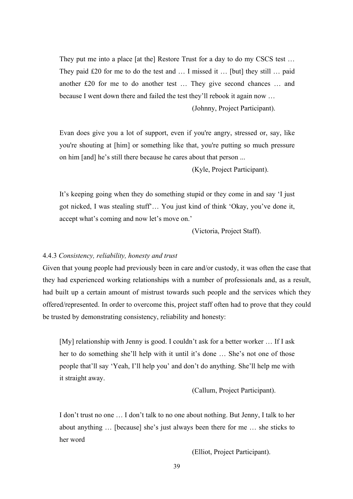They put me into a place [at the] Restore Trust for a day to do my CSCS test ... They paid £20 for me to do the test and … I missed it … [but] they still … paid another £20 for me to do another test … They give second chances … and because I went down there and failed the test they'll rebook it again now …

(Johnny, Project Participant).

Evan does give you a lot of support, even if you're angry, stressed or, say, like you're shouting at [him] or something like that, you're putting so much pressure on him [and] he's still there because he cares about that person ...

(Kyle, Project Participant).

It's keeping going when they do something stupid or they come in and say 'I just got nicked, I was stealing stuff'… You just kind of think 'Okay, you've done it, accept what's coming and now let's move on.'

(Victoria, Project Staff).

# 4.4.3 *Consistency, reliability, honesty and trust*

Given that young people had previously been in care and/or custody, it was often the case that they had experienced working relationships with a number of professionals and, as a result, had built up a certain amount of mistrust towards such people and the services which they offered/represented. In order to overcome this, project staff often had to prove that they could be trusted by demonstrating consistency, reliability and honesty:

[My] relationship with Jenny is good. I couldn't ask for a better worker … If I ask her to do something she'll help with it until it's done … She's not one of those people that'll say 'Yeah, I'll help you' and don't do anything. She'll help me with it straight away.

(Callum, Project Participant).

I don't trust no one … I don't talk to no one about nothing. But Jenny, I talk to her about anything … [because] she's just always been there for me … she sticks to her word

(Elliot, Project Participant).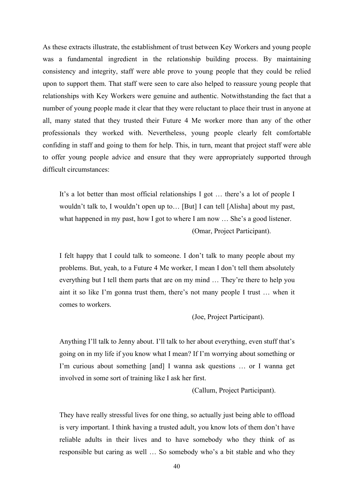As these extracts illustrate, the establishment of trust between Key Workers and young people was a fundamental ingredient in the relationship building process. By maintaining consistency and integrity, staff were able prove to young people that they could be relied upon to support them. That staff were seen to care also helped to reassure young people that relationships with Key Workers were genuine and authentic. Notwithstanding the fact that a number of young people made it clear that they were reluctant to place their trust in anyone at all, many stated that they trusted their Future 4 Me worker more than any of the other professionals they worked with. Nevertheless, young people clearly felt comfortable confiding in staff and going to them for help. This, in turn, meant that project staff were able to offer young people advice and ensure that they were appropriately supported through difficult circumstances:

It's a lot better than most official relationships I got … there's a lot of people I wouldn't talk to, I wouldn't open up to… [But] I can tell [Alisha] about my past, what happened in my past, how I got to where I am now ... She's a good listener. (Omar, Project Participant).

I felt happy that I could talk to someone. I don't talk to many people about my problems. But, yeah, to a Future 4 Me worker, I mean I don't tell them absolutely everything but I tell them parts that are on my mind … They're there to help you aint it so like I'm gonna trust them, there's not many people I trust … when it comes to workers.

(Joe, Project Participant).

Anything I'll talk to Jenny about. I'll talk to her about everything, even stuff that's going on in my life if you know what I mean? If I'm worrying about something or I'm curious about something [and] I wanna ask questions … or I wanna get involved in some sort of training like I ask her first.

(Callum, Project Participant).

They have really stressful lives for one thing, so actually just being able to offload is very important. I think having a trusted adult, you know lots of them don't have reliable adults in their lives and to have somebody who they think of as responsible but caring as well … So somebody who's a bit stable and who they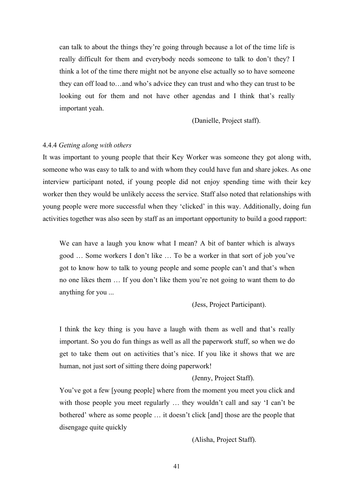can talk to about the things they're going through because a lot of the time life is really difficult for them and everybody needs someone to talk to don't they? I think a lot of the time there might not be anyone else actually so to have someone they can off load to…and who's advice they can trust and who they can trust to be looking out for them and not have other agendas and I think that's really important yeah.

(Danielle, Project staff).

## 4.4.4 *Getting along with others*

It was important to young people that their Key Worker was someone they got along with, someone who was easy to talk to and with whom they could have fun and share jokes. As one interview participant noted, if young people did not enjoy spending time with their key worker then they would be unlikely access the service. Staff also noted that relationships with young people were more successful when they 'clicked' in this way. Additionally, doing fun activities together was also seen by staff as an important opportunity to build a good rapport:

We can have a laugh you know what I mean? A bit of banter which is always good … Some workers I don't like … To be a worker in that sort of job you've got to know how to talk to young people and some people can't and that's when no one likes them … If you don't like them you're not going to want them to do anything for you ...

(Jess, Project Participant).

I think the key thing is you have a laugh with them as well and that's really important. So you do fun things as well as all the paperwork stuff, so when we do get to take them out on activities that's nice. If you like it shows that we are human, not just sort of sitting there doing paperwork!

# (Jenny, Project Staff).

You've got a few [young people] where from the moment you meet you click and with those people you meet regularly … they wouldn't call and say 'I can't be bothered' where as some people … it doesn't click [and] those are the people that disengage quite quickly

(Alisha, Project Staff).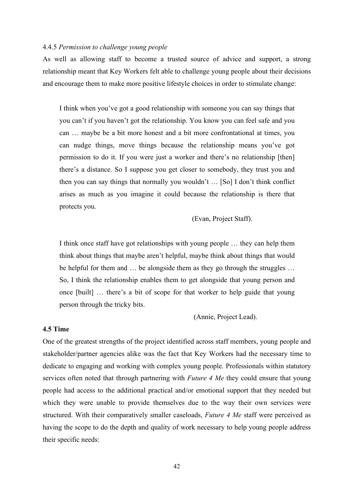# 4.4.5 *Permission to challenge young people*

As well as allowing staff to become a trusted source of advice and support, a strong relationship meant that Key Workers felt able to challenge young people about their decisions and encourage them to make more positive lifestyle choices in order to stimulate change:

I think when you've got a good relationship with someone you can say things that you can't if you haven't got the relationship. You know you can feel safe and you can … maybe be a bit more honest and a bit more confrontational at times, you can nudge things, move things because the relationship means you've got permission to do it. If you were just a worker and there's no relationship [then] there's a distance. So I suppose you get closer to somebody, they trust you and then you can say things that normally you wouldn't … [So] I don't think conflict arises as much as you imagine it could because the relationship is there that protects you.

(Evan, Project Staff).

I think once staff have got relationships with young people … they can help them think about things that maybe aren't helpful, maybe think about things that would be helpful for them and … be alongside them as they go through the struggles … So, I think the relationship enables them to get alongside that young person and once [built] … there's a bit of scope for that worker to help guide that young person through the tricky bits.

(Annie, Project Lead).

# **4.5 Time**

One of the greatest strengths of the project identified across staff members, young people and stakeholder/partner agencies alike was the fact that Key Workers had the necessary time to dedicate to engaging and working with complex young people. Professionals within statutory services often noted that through partnering with *Future 4 Me* they could ensure that young people had access to the additional practical and/or emotional support that they needed but which they were unable to provide themselves due to the way their own services were structured. With their comparatively smaller caseloads, *Future 4 Me* staff were perceived as having the scope to do the depth and quality of work necessary to help young people address their specific needs: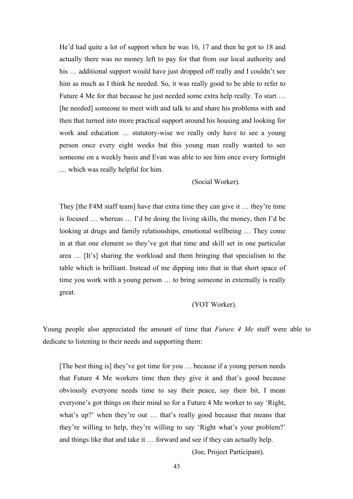He'd had quite a lot of support when he was 16, 17 and then he got to 18 and actually there was no money left to pay for that from our local authority and his ... additional support would have just dropped off really and I couldn't see him as much as I think he needed. So, it was really good to be able to refer to Future 4 Me for that because he just needed some extra help really. To start … [he needed] someone to meet with and talk to and share his problems with and then that turned into more practical support around his housing and looking for work and education … statutory-wise we really only have to see a young person once every eight weeks but this young man really wanted to see someone on a weekly basis and Evan was able to see him once every fortnight … which was really helpful for him.

(Social Worker).

They [the F4M staff team] have that extra time they can give it … they're time is focused … whereas … I'd be doing the living skills, the money, then I'd be looking at drugs and family relationships, emotional wellbeing … They come in at that one element so they've got that time and skill set in one particular area … [It's] sharing the workload and them bringing that specialism to the table which is brilliant. Instead of me dipping into that in that short space of time you work with a young person … to bring someone in externally is really great.

## (YOT Worker).

Young people also appreciated the amount of time that *Future 4 Me* staff were able to dedicate to listening to their needs and supporting them:

[The best thing is] they've got time for you … because if a young person needs that Future 4 Me workers time then they give it and that's good because obviously everyone needs time to say their peace, say their bit, I mean everyone's got things on their mind so for a Future 4 Me worker to say 'Right, what's up?' when they're out … that's really good because that means that they're willing to help, they're willing to say 'Right what's your problem?' and things like that and take it … forward and see if they can actually help.

(Joe, Project Participant).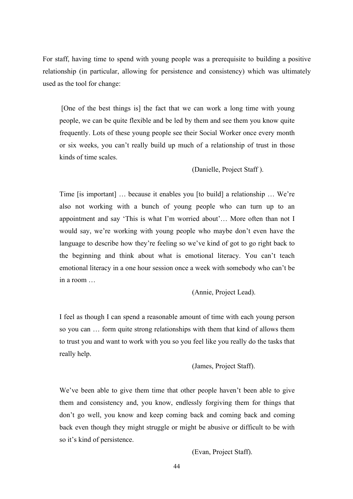For staff, having time to spend with young people was a prerequisite to building a positive relationship (in particular, allowing for persistence and consistency) which was ultimately used as the tool for change:

[One of the best things is] the fact that we can work a long time with young people, we can be quite flexible and be led by them and see them you know quite frequently. Lots of these young people see their Social Worker once every month or six weeks, you can't really build up much of a relationship of trust in those kinds of time scales.

(Danielle, Project Staff ).

Time [is important] … because it enables you [to build] a relationship … We're also not working with a bunch of young people who can turn up to an appointment and say 'This is what I'm worried about'… More often than not I would say, we're working with young people who maybe don't even have the language to describe how they're feeling so we've kind of got to go right back to the beginning and think about what is emotional literacy. You can't teach emotional literacy in a one hour session once a week with somebody who can't be in a room

(Annie, Project Lead).

I feel as though I can spend a reasonable amount of time with each young person so you can … form quite strong relationships with them that kind of allows them to trust you and want to work with you so you feel like you really do the tasks that really help.

(James, Project Staff).

We've been able to give them time that other people haven't been able to give them and consistency and, you know, endlessly forgiving them for things that don't go well, you know and keep coming back and coming back and coming back even though they might struggle or might be abusive or difficult to be with so it's kind of persistence.

(Evan, Project Staff).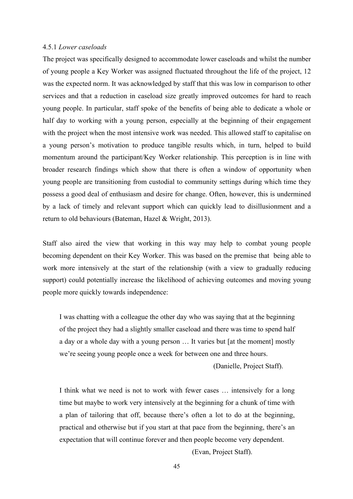### 4.5.1 *Lower caseloads*

The project was specifically designed to accommodate lower caseloads and whilst the number of young people a Key Worker was assigned fluctuated throughout the life of the project, 12 was the expected norm. It was acknowledged by staff that this was low in comparison to other services and that a reduction in caseload size greatly improved outcomes for hard to reach young people. In particular, staff spoke of the benefits of being able to dedicate a whole or half day to working with a young person, especially at the beginning of their engagement with the project when the most intensive work was needed. This allowed staff to capitalise on a young person's motivation to produce tangible results which, in turn, helped to build momentum around the participant/Key Worker relationship. This perception is in line with broader research findings which show that there is often a window of opportunity when young people are transitioning from custodial to community settings during which time they possess a good deal of enthusiasm and desire for change. Often, however, this is undermined by a lack of timely and relevant support which can quickly lead to disillusionment and a return to old behaviours (Bateman, Hazel & Wright, 2013).

Staff also aired the view that working in this way may help to combat young people becoming dependent on their Key Worker. This was based on the premise that being able to work more intensively at the start of the relationship (with a view to gradually reducing support) could potentially increase the likelihood of achieving outcomes and moving young people more quickly towards independence:

I was chatting with a colleague the other day who was saying that at the beginning of the project they had a slightly smaller caseload and there was time to spend half a day or a whole day with a young person … It varies but [at the moment] mostly we're seeing young people once a week for between one and three hours.

(Danielle, Project Staff).

I think what we need is not to work with fewer cases … intensively for a long time but maybe to work very intensively at the beginning for a chunk of time with a plan of tailoring that off, because there's often a lot to do at the beginning, practical and otherwise but if you start at that pace from the beginning, there's an expectation that will continue forever and then people become very dependent.

(Evan, Project Staff).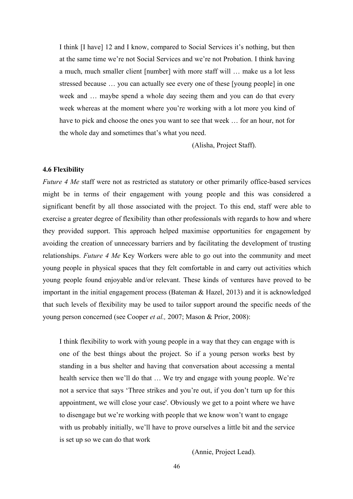I think [I have] 12 and I know, compared to Social Services it's nothing, but then at the same time we're not Social Services and we're not Probation. I think having a much, much smaller client [number] with more staff will … make us a lot less stressed because … you can actually see every one of these [young people] in one week and … maybe spend a whole day seeing them and you can do that every week whereas at the moment where you're working with a lot more you kind of have to pick and choose the ones you want to see that week … for an hour, not for the whole day and sometimes that's what you need.

(Alisha, Project Staff).

### **4.6 Flexibility**

*Future 4 Me* staff were not as restricted as statutory or other primarily office-based services might be in terms of their engagement with young people and this was considered a significant benefit by all those associated with the project. To this end, staff were able to exercise a greater degree of flexibility than other professionals with regards to how and where they provided support. This approach helped maximise opportunities for engagement by avoiding the creation of unnecessary barriers and by facilitating the development of trusting relationships. *Future 4 Me* Key Workers were able to go out into the community and meet young people in physical spaces that they felt comfortable in and carry out activities which young people found enjoyable and/or relevant. These kinds of ventures have proved to be important in the initial engagement process (Bateman & Hazel, 2013) and it is acknowledged that such levels of flexibility may be used to tailor support around the specific needs of the young person concerned (see Cooper *et al.,* 2007; Mason & Prior, 2008):

I think flexibility to work with young people in a way that they can engage with is one of the best things about the project. So if a young person works best by standing in a bus shelter and having that conversation about accessing a mental health service then we'll do that … We try and engage with young people. We're not a service that says 'Three strikes and you're out, if you don't turn up for this appointment, we will close your case'. Obviously we get to a point where we have to disengage but we're working with people that we know won't want to engage with us probably initially, we'll have to prove ourselves a little bit and the service is set up so we can do that work

(Annie, Project Lead).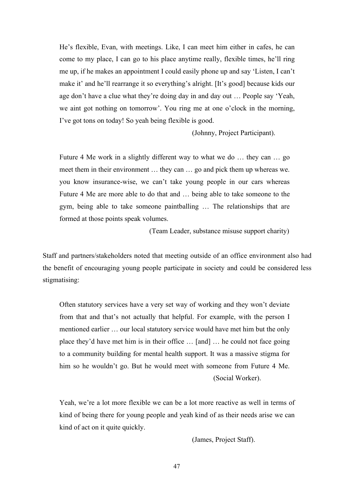He's flexible, Evan, with meetings. Like, I can meet him either in cafes, he can come to my place, I can go to his place anytime really, flexible times, he'll ring me up, if he makes an appointment I could easily phone up and say 'Listen, I can't make it' and he'll rearrange it so everything's alright. [It's good] because kids our age don't have a clue what they're doing day in and day out … People say 'Yeah, we aint got nothing on tomorrow'. You ring me at one o'clock in the morning, I've got tons on today! So yeah being flexible is good.

(Johnny, Project Participant).

Future 4 Me work in a slightly different way to what we do … they can … go meet them in their environment … they can … go and pick them up whereas we. you know insurance-wise, we can't take young people in our cars whereas Future 4 Me are more able to do that and … being able to take someone to the gym, being able to take someone paintballing … The relationships that are formed at those points speak volumes.

(Team Leader, substance misuse support charity)

Staff and partners/stakeholders noted that meeting outside of an office environment also had the benefit of encouraging young people participate in society and could be considered less stigmatising:

Often statutory services have a very set way of working and they won't deviate from that and that's not actually that helpful. For example, with the person I mentioned earlier … our local statutory service would have met him but the only place they'd have met him is in their office … [and] … he could not face going to a community building for mental health support. It was a massive stigma for him so he wouldn't go. But he would meet with someone from Future 4 Me. (Social Worker).

Yeah, we're a lot more flexible we can be a lot more reactive as well in terms of kind of being there for young people and yeah kind of as their needs arise we can kind of act on it quite quickly.

(James, Project Staff).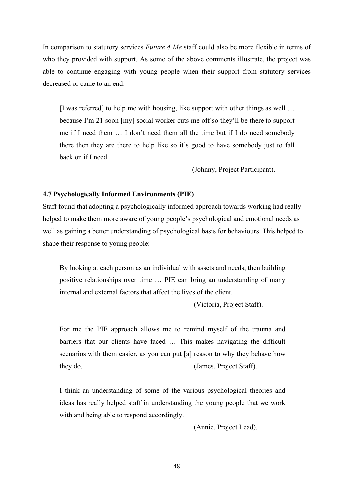In comparison to statutory services *Future 4 Me* staff could also be more flexible in terms of who they provided with support. As some of the above comments illustrate, the project was able to continue engaging with young people when their support from statutory services decreased or came to an end:

[I was referred] to help me with housing, like support with other things as well … because I'm 21 soon [my] social worker cuts me off so they'll be there to support me if I need them … I don't need them all the time but if I do need somebody there then they are there to help like so it's good to have somebody just to fall back on if I need.

(Johnny, Project Participant).

## **4.7 Psychologically Informed Environments (PIE)**

Staff found that adopting a psychologically informed approach towards working had really helped to make them more aware of young people's psychological and emotional needs as well as gaining a better understanding of psychological basis for behaviours. This helped to shape their response to young people:

By looking at each person as an individual with assets and needs, then building positive relationships over time … PIE can bring an understanding of many internal and external factors that affect the lives of the client.

(Victoria, Project Staff).

For me the PIE approach allows me to remind myself of the trauma and barriers that our clients have faced … This makes navigating the difficult scenarios with them easier, as you can put [a] reason to why they behave how they do. (James, Project Staff).

I think an understanding of some of the various psychological theories and ideas has really helped staff in understanding the young people that we work with and being able to respond accordingly.

(Annie, Project Lead).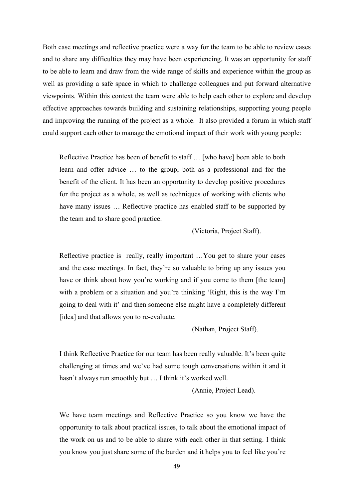Both case meetings and reflective practice were a way for the team to be able to review cases and to share any difficulties they may have been experiencing. It was an opportunity for staff to be able to learn and draw from the wide range of skills and experience within the group as well as providing a safe space in which to challenge colleagues and put forward alternative viewpoints. Within this context the team were able to help each other to explore and develop effective approaches towards building and sustaining relationships, supporting young people and improving the running of the project as a whole. It also provided a forum in which staff could support each other to manage the emotional impact of their work with young people:

Reflective Practice has been of benefit to staff … [who have] been able to both learn and offer advice … to the group, both as a professional and for the benefit of the client. It has been an opportunity to develop positive procedures for the project as a whole, as well as techniques of working with clients who have many issues … Reflective practice has enabled staff to be supported by the team and to share good practice.

(Victoria, Project Staff).

Reflective practice is really, really important …You get to share your cases and the case meetings. In fact, they're so valuable to bring up any issues you have or think about how you're working and if you come to them [the team] with a problem or a situation and you're thinking 'Right, this is the way I'm going to deal with it' and then someone else might have a completely different [idea] and that allows you to re-evaluate.

(Nathan, Project Staff).

I think Reflective Practice for our team has been really valuable. It's been quite challenging at times and we've had some tough conversations within it and it hasn't always run smoothly but … I think it's worked well.

(Annie, Project Lead).

We have team meetings and Reflective Practice so you know we have the opportunity to talk about practical issues, to talk about the emotional impact of the work on us and to be able to share with each other in that setting. I think you know you just share some of the burden and it helps you to feel like you're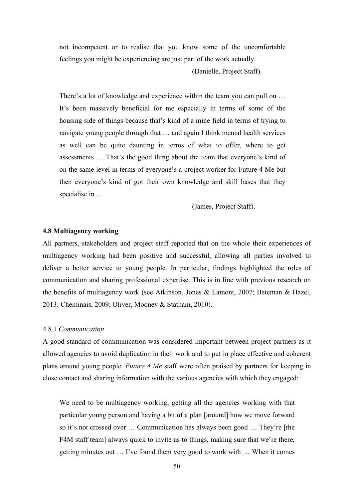not incompetent or to realise that you know some of the uncomfortable feelings you might be experiencing are just part of the work actually.

(Danielle, Project Staff).

There's a lot of knowledge and experience within the team you can pull on … It's been massively beneficial for me especially in terms of some of the housing side of things because that's kind of a mine field in terms of trying to navigate young people through that … and again I think mental health services as well can be quite daunting in terms of what to offer, where to get assessments … That's the good thing about the team that everyone's kind of on the same level in terms of everyone's a project worker for Future 4 Me but then everyone's kind of got their own knowledge and skill bases that they specialise in …

(James, Project Staff).

## **4.8 Multiagency working**

All partners, stakeholders and project staff reported that on the whole their experiences of multiagency working had been positive and successful, allowing all parties involved to deliver a better service to young people. In particular, findings highlighted the roles of communication and sharing professional expertise. This is in line with previous research on the benefits of multiagency work (see Atkinson, Jones & Lamont, 2007; Bateman & Hazel, 2013; Cheminais, 2009; Oliver, Mooney & Statham, 2010).

### 4.8.1 *Communication*

A good standard of communication was considered important between project partners as it allowed agencies to avoid duplication in their work and to put in place effective and coherent plans around young people. *Future 4 Me* staff were often praised by partners for keeping in close contact and sharing information with the various agencies with which they engaged:

We need to be multiagency working, getting all the agencies working with that particular young person and having a bit of a plan [around] how we move forward so it's not crossed over … Communication has always been good … They're [the F4M staff team] always quick to invite us to things, making sure that we're there, getting minutes out … I've found them very good to work with … When it comes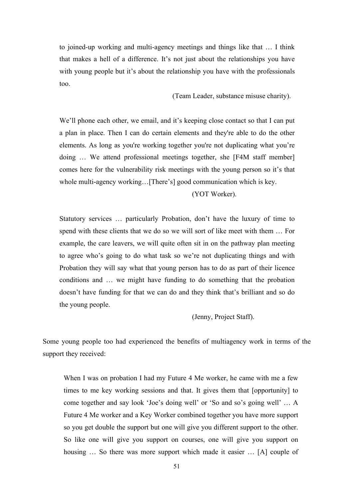to joined-up working and multi-agency meetings and things like that … I think that makes a hell of a difference. It's not just about the relationships you have with young people but it's about the relationship you have with the professionals too.

(Team Leader, substance misuse charity).

We'll phone each other, we email, and it's keeping close contact so that I can put a plan in place. Then I can do certain elements and they're able to do the other elements. As long as you're working together you're not duplicating what you're doing … We attend professional meetings together, she [F4M staff member] comes here for the vulnerability risk meetings with the young person so it's that whole multi-agency working…[There's] good communication which is key.

(YOT Worker).

Statutory services … particularly Probation, don't have the luxury of time to spend with these clients that we do so we will sort of like meet with them … For example, the care leavers, we will quite often sit in on the pathway plan meeting to agree who's going to do what task so we're not duplicating things and with Probation they will say what that young person has to do as part of their licence conditions and … we might have funding to do something that the probation doesn't have funding for that we can do and they think that's brilliant and so do the young people.

(Jenny, Project Staff).

Some young people too had experienced the benefits of multiagency work in terms of the support they received:

When I was on probation I had my Future 4 Me worker, he came with me a few times to me key working sessions and that. It gives them that [opportunity] to come together and say look 'Joe's doing well' or 'So and so's going well' … A Future 4 Me worker and a Key Worker combined together you have more support so you get double the support but one will give you different support to the other. So like one will give you support on courses, one will give you support on housing ... So there was more support which made it easier ... [A] couple of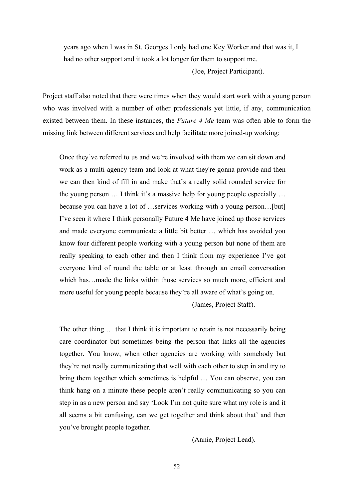years ago when I was in St. Georges I only had one Key Worker and that was it, I had no other support and it took a lot longer for them to support me.

(Joe, Project Participant).

Project staff also noted that there were times when they would start work with a young person who was involved with a number of other professionals yet little, if any, communication existed between them. In these instances, the *Future 4 Me* team was often able to form the missing link between different services and help facilitate more joined-up working:

Once they've referred to us and we're involved with them we can sit down and work as a multi-agency team and look at what they're gonna provide and then we can then kind of fill in and make that's a really solid rounded service for the young person … I think it's a massive help for young people especially … because you can have a lot of …services working with a young person…[but] I've seen it where I think personally Future 4 Me have joined up those services and made everyone communicate a little bit better … which has avoided you know four different people working with a young person but none of them are really speaking to each other and then I think from my experience I've got everyone kind of round the table or at least through an email conversation which has…made the links within those services so much more, efficient and more useful for young people because they're all aware of what's going on.

(James, Project Staff).

The other thing … that I think it is important to retain is not necessarily being care coordinator but sometimes being the person that links all the agencies together. You know, when other agencies are working with somebody but they're not really communicating that well with each other to step in and try to bring them together which sometimes is helpful … You can observe, you can think hang on a minute these people aren't really communicating so you can step in as a new person and say 'Look I'm not quite sure what my role is and it all seems a bit confusing, can we get together and think about that' and then you've brought people together.

(Annie, Project Lead).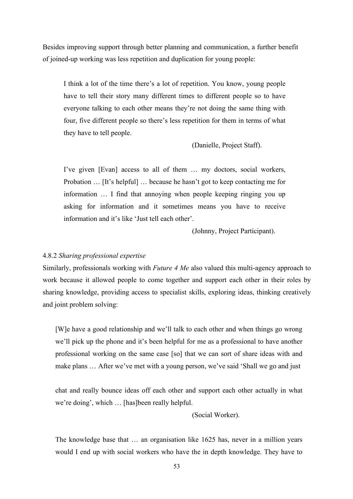Besides improving support through better planning and communication, a further benefit of joined-up working was less repetition and duplication for young people:

I think a lot of the time there's a lot of repetition. You know, young people have to tell their story many different times to different people so to have everyone talking to each other means they're not doing the same thing with four, five different people so there's less repetition for them in terms of what they have to tell people.

(Danielle, Project Staff).

I've given [Evan] access to all of them … my doctors, social workers, Probation … [It's helpful] … because he hasn't got to keep contacting me for information … I find that annoying when people keeping ringing you up asking for information and it sometimes means you have to receive information and it's like 'Just tell each other'.

(Johnny, Project Participant).

# 4.8.2 *Sharing professional expertise*

Similarly, professionals working with *Future 4 Me* also valued this multi-agency approach to work because it allowed people to come together and support each other in their roles by sharing knowledge, providing access to specialist skills, exploring ideas, thinking creatively and joint problem solving:

[W]e have a good relationship and we'll talk to each other and when things go wrong we'll pick up the phone and it's been helpful for me as a professional to have another professional working on the same case [so] that we can sort of share ideas with and make plans … After we've met with a young person, we've said 'Shall we go and just

chat and really bounce ideas off each other and support each other actually in what we're doing', which … [has]been really helpful.

(Social Worker).

The knowledge base that … an organisation like 1625 has, never in a million years would I end up with social workers who have the in depth knowledge. They have to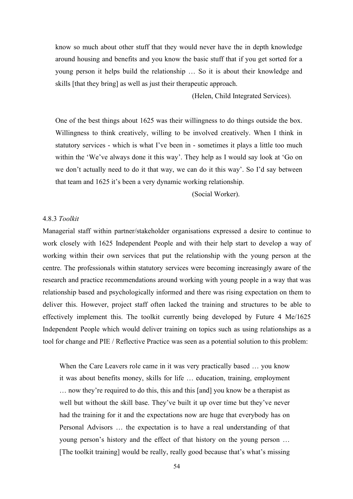know so much about other stuff that they would never have the in depth knowledge around housing and benefits and you know the basic stuff that if you get sorted for a young person it helps build the relationship … So it is about their knowledge and skills [that they bring] as well as just their therapeutic approach.

(Helen, Child Integrated Services).

One of the best things about 1625 was their willingness to do things outside the box. Willingness to think creatively, willing to be involved creatively. When I think in statutory services - which is what I've been in - sometimes it plays a little too much within the 'We've always done it this way'. They help as I would say look at 'Go on we don't actually need to do it that way, we can do it this way'. So I'd say between that team and 1625 it's been a very dynamic working relationship.

(Social Worker).

# 4.8.3 *Toolkit*

Managerial staff within partner/stakeholder organisations expressed a desire to continue to work closely with 1625 Independent People and with their help start to develop a way of working within their own services that put the relationship with the young person at the centre. The professionals within statutory services were becoming increasingly aware of the research and practice recommendations around working with young people in a way that was relationship based and psychologically informed and there was rising expectation on them to deliver this. However, project staff often lacked the training and structures to be able to effectively implement this. The toolkit currently being developed by Future 4 Me/1625 Independent People which would deliver training on topics such as using relationships as a tool for change and PIE / Reflective Practice was seen as a potential solution to this problem:

When the Care Leavers role came in it was very practically based ... you know it was about benefits money, skills for life … education, training, employment … now they're required to do this, this and this [and] you know be a therapist as well but without the skill base. They've built it up over time but they've never had the training for it and the expectations now are huge that everybody has on Personal Advisors … the expectation is to have a real understanding of that young person's history and the effect of that history on the young person … [The toolkit training] would be really, really good because that's what's missing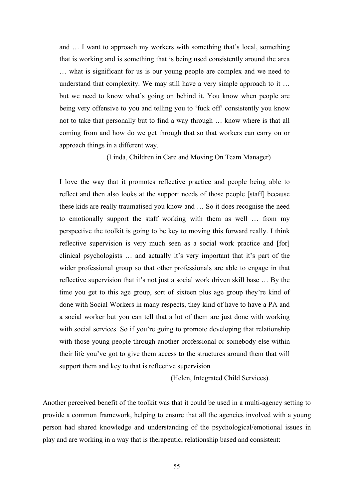and … I want to approach my workers with something that's local, something that is working and is something that is being used consistently around the area … what is significant for us is our young people are complex and we need to understand that complexity. We may still have a very simple approach to it … but we need to know what's going on behind it. You know when people are being very offensive to you and telling you to 'fuck off' consistently you know not to take that personally but to find a way through … know where is that all coming from and how do we get through that so that workers can carry on or approach things in a different way.

(Linda, Children in Care and Moving On Team Manager)

I love the way that it promotes reflective practice and people being able to reflect and then also looks at the support needs of those people [staff] because these kids are really traumatised you know and … So it does recognise the need to emotionally support the staff working with them as well … from my perspective the toolkit is going to be key to moving this forward really. I think reflective supervision is very much seen as a social work practice and [for] clinical psychologists … and actually it's very important that it's part of the wider professional group so that other professionals are able to engage in that reflective supervision that it's not just a social work driven skill base … By the time you get to this age group, sort of sixteen plus age group they're kind of done with Social Workers in many respects, they kind of have to have a PA and a social worker but you can tell that a lot of them are just done with working with social services. So if you're going to promote developing that relationship with those young people through another professional or somebody else within their life you've got to give them access to the structures around them that will support them and key to that is reflective supervision

(Helen, Integrated Child Services).

Another perceived benefit of the toolkit was that it could be used in a multi-agency setting to provide a common framework, helping to ensure that all the agencies involved with a young person had shared knowledge and understanding of the psychological/emotional issues in play and are working in a way that is therapeutic, relationship based and consistent: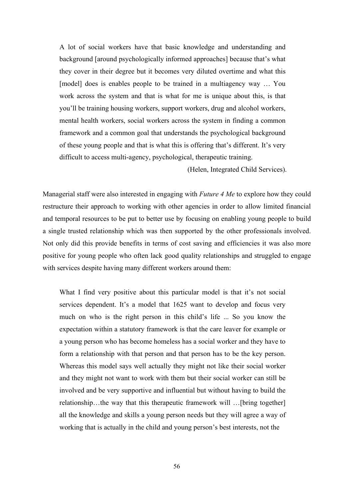A lot of social workers have that basic knowledge and understanding and background [around psychologically informed approaches] because that's what they cover in their degree but it becomes very diluted overtime and what this [model] does is enables people to be trained in a multiagency way ... You work across the system and that is what for me is unique about this, is that you'll be training housing workers, support workers, drug and alcohol workers, mental health workers, social workers across the system in finding a common framework and a common goal that understands the psychological background of these young people and that is what this is offering that's different. It's very difficult to access multi-agency, psychological, therapeutic training.

(Helen, Integrated Child Services).

Managerial staff were also interested in engaging with *Future 4 Me* to explore how they could restructure their approach to working with other agencies in order to allow limited financial and temporal resources to be put to better use by focusing on enabling young people to build a single trusted relationship which was then supported by the other professionals involved. Not only did this provide benefits in terms of cost saving and efficiencies it was also more positive for young people who often lack good quality relationships and struggled to engage with services despite having many different workers around them:

What I find very positive about this particular model is that it's not social services dependent. It's a model that 1625 want to develop and focus very much on who is the right person in this child's life ... So you know the expectation within a statutory framework is that the care leaver for example or a young person who has become homeless has a social worker and they have to form a relationship with that person and that person has to be the key person. Whereas this model says well actually they might not like their social worker and they might not want to work with them but their social worker can still be involved and be very supportive and influential but without having to build the relationship…the way that this therapeutic framework will …[bring together] all the knowledge and skills a young person needs but they will agree a way of working that is actually in the child and young person's best interests, not the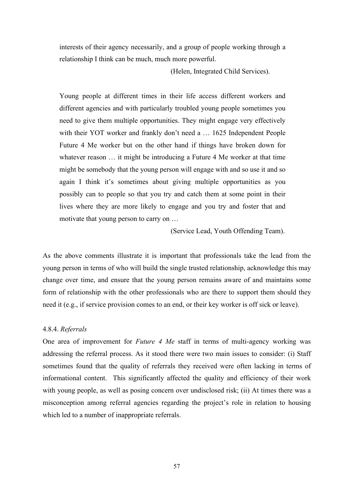interests of their agency necessarily, and a group of people working through a relationship I think can be much, much more powerful.

(Helen, Integrated Child Services).

Young people at different times in their life access different workers and different agencies and with particularly troubled young people sometimes you need to give them multiple opportunities. They might engage very effectively with their YOT worker and frankly don't need a … 1625 Independent People Future 4 Me worker but on the other hand if things have broken down for whatever reason ... it might be introducing a Future 4 Me worker at that time might be somebody that the young person will engage with and so use it and so again I think it's sometimes about giving multiple opportunities as you possibly can to people so that you try and catch them at some point in their lives where they are more likely to engage and you try and foster that and motivate that young person to carry on …

(Service Lead, Youth Offending Team).

As the above comments illustrate it is important that professionals take the lead from the young person in terms of who will build the single trusted relationship, acknowledge this may change over time, and ensure that the young person remains aware of and maintains some form of relationship with the other professionals who are there to support them should they need it (e.g., if service provision comes to an end, or their key worker is off sick or leave).

## 4.8.4. *Referrals*

One area of improvement for *Future 4 Me* staff in terms of multi-agency working was addressing the referral process. As it stood there were two main issues to consider: (i) Staff sometimes found that the quality of referrals they received were often lacking in terms of informational content. This significantly affected the quality and efficiency of their work with young people, as well as posing concern over undisclosed risk; (ii) At times there was a misconception among referral agencies regarding the project's role in relation to housing which led to a number of inappropriate referrals.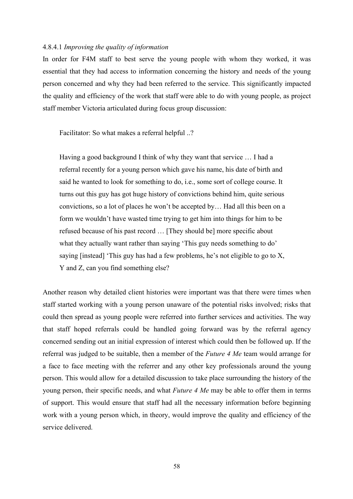### 4.8.4.1 *Improving the quality of information*

In order for F4M staff to best serve the young people with whom they worked, it was essential that they had access to information concerning the history and needs of the young person concerned and why they had been referred to the service. This significantly impacted the quality and efficiency of the work that staff were able to do with young people, as project staff member Victoria articulated during focus group discussion:

Facilitator: So what makes a referral helpful ..?

Having a good background I think of why they want that service … I had a referral recently for a young person which gave his name, his date of birth and said he wanted to look for something to do, i.e., some sort of college course. It turns out this guy has got huge history of convictions behind him, quite serious convictions, so a lot of places he won't be accepted by… Had all this been on a form we wouldn't have wasted time trying to get him into things for him to be refused because of his past record … [They should be] more specific about what they actually want rather than saying 'This guy needs something to do' saying [instead] 'This guy has had a few problems, he's not eligible to go to X, Y and Z, can you find something else?

Another reason why detailed client histories were important was that there were times when staff started working with a young person unaware of the potential risks involved; risks that could then spread as young people were referred into further services and activities. The way that staff hoped referrals could be handled going forward was by the referral agency concerned sending out an initial expression of interest which could then be followed up. If the referral was judged to be suitable, then a member of the *Future 4 Me* team would arrange for a face to face meeting with the referrer and any other key professionals around the young person. This would allow for a detailed discussion to take place surrounding the history of the young person, their specific needs, and what *Future 4 Me* may be able to offer them in terms of support. This would ensure that staff had all the necessary information before beginning work with a young person which, in theory, would improve the quality and efficiency of the service delivered.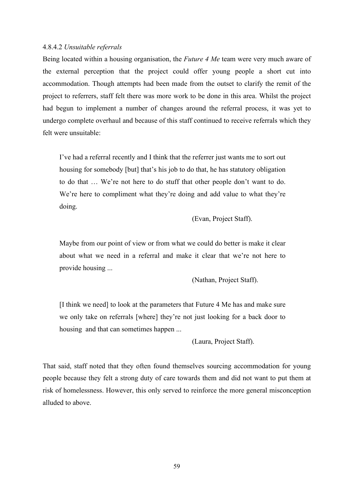## 4.8.4.2 *Unsuitable referrals*

Being located within a housing organisation, the *Future 4 Me* team were very much aware of the external perception that the project could offer young people a short cut into accommodation. Though attempts had been made from the outset to clarify the remit of the project to referrers, staff felt there was more work to be done in this area. Whilst the project had begun to implement a number of changes around the referral process, it was yet to undergo complete overhaul and because of this staff continued to receive referrals which they felt were unsuitable:

I've had a referral recently and I think that the referrer just wants me to sort out housing for somebody [but] that's his job to do that, he has statutory obligation to do that … We're not here to do stuff that other people don't want to do. We're here to compliment what they're doing and add value to what they're doing.

(Evan, Project Staff).

Maybe from our point of view or from what we could do better is make it clear about what we need in a referral and make it clear that we're not here to provide housing ...

(Nathan, Project Staff).

[I think we need] to look at the parameters that Future 4 Me has and make sure we only take on referrals [where] they're not just looking for a back door to housing and that can sometimes happen ...

(Laura, Project Staff).

That said, staff noted that they often found themselves sourcing accommodation for young people because they felt a strong duty of care towards them and did not want to put them at risk of homelessness. However, this only served to reinforce the more general misconception alluded to above.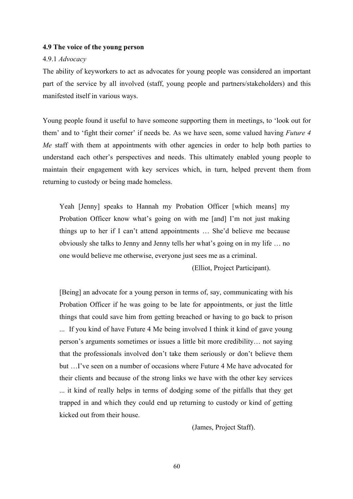### **4.9 The voice of the young person**

### 4.9.1 *Advocacy*

The ability of keyworkers to act as advocates for young people was considered an important part of the service by all involved (staff, young people and partners/stakeholders) and this manifested itself in various ways.

Young people found it useful to have someone supporting them in meetings, to 'look out for them' and to 'fight their corner' if needs be. As we have seen, some valued having *Future 4 Me* staff with them at appointments with other agencies in order to help both parties to understand each other's perspectives and needs. This ultimately enabled young people to maintain their engagement with key services which, in turn, helped prevent them from returning to custody or being made homeless.

Yeah [Jenny] speaks to Hannah my Probation Officer [which means] my Probation Officer know what's going on with me [and] I'm not just making things up to her if I can't attend appointments … She'd believe me because obviously she talks to Jenny and Jenny tells her what's going on in my life … no one would believe me otherwise, everyone just sees me as a criminal.

(Elliot, Project Participant).

[Being] an advocate for a young person in terms of, say, communicating with his Probation Officer if he was going to be late for appointments, or just the little things that could save him from getting breached or having to go back to prison ... If you kind of have Future 4 Me being involved I think it kind of gave young person's arguments sometimes or issues a little bit more credibility… not saying that the professionals involved don't take them seriously or don't believe them but …I've seen on a number of occasions where Future 4 Me have advocated for their clients and because of the strong links we have with the other key services ... it kind of really helps in terms of dodging some of the pitfalls that they get trapped in and which they could end up returning to custody or kind of getting kicked out from their house.

(James, Project Staff).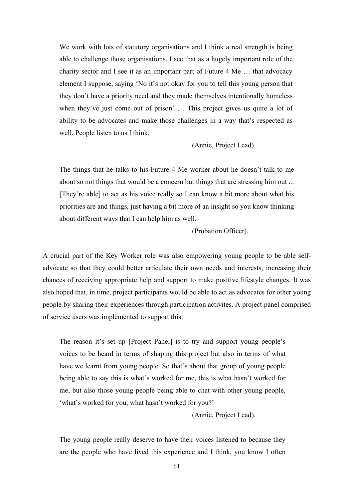We work with lots of statutory organisations and I think a real strength is being able to challenge those organisations. I see that as a hugely important role of the charity sector and I see it as an important part of Future 4 Me … that advocacy element I suppose, saying 'No it's not okay for you to tell this young person that they don't have a priority need and they made themselves intentionally homeless when they've just come out of prison' … This project gives us quite a lot of ability to be advocates and make those challenges in a way that's respected as well. People listen to us I think.

(Annie, Project Lead).

The things that he talks to his Future 4 Me worker about he doesn't talk to me about so not things that would be a concern but things that are stressing him out ... [They're able] to act as his voice really so I can know a bit more about what his priorities are and things, just having a bit more of an insight so you know thinking about different ways that I can help him as well.

(Probation Officer).

A crucial part of the Key Worker role was also empowering young people to be able selfadvocate so that they could better articulate their own needs and interests, increasing their chances of receiving appropriate help and support to make positive lifestyle changes. It was also hoped that, in time, project participants would be able to act as advocates for other young people by sharing their experiences through participation activites. A project panel comprised of service users was implemented to support this:

The reason it's set up [Project Panel] is to try and support young people's voices to be heard in terms of shaping this project but also in terms of what have we learnt from young people. So that's about that group of young people being able to say this is what's worked for me, this is what hasn't worked for me, but also those young people being able to chat with other young people, 'what's worked for you, what hasn't worked for you?'

(Annie, Project Lead).

The young people really deserve to have their voices listened to because they are the people who have lived this experience and I think, you know I often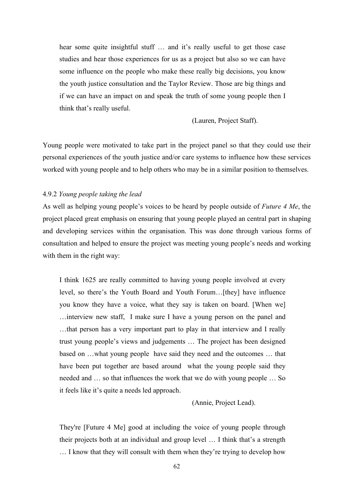hear some quite insightful stuff … and it's really useful to get those case studies and hear those experiences for us as a project but also so we can have some influence on the people who make these really big decisions, you know the youth justice consultation and the Taylor Review. Those are big things and if we can have an impact on and speak the truth of some young people then I think that's really useful.

(Lauren, Project Staff).

Young people were motivated to take part in the project panel so that they could use their personal experiences of the youth justice and/or care systems to influence how these services worked with young people and to help others who may be in a similar position to themselves.

## 4.9.2 *Young people taking the lead*

As well as helping young people's voices to be heard by people outside of *Future 4 Me*, the project placed great emphasis on ensuring that young people played an central part in shaping and developing services within the organisation. This was done through various forms of consultation and helped to ensure the project was meeting young people's needs and working with them in the right way:

I think 1625 are really committed to having young people involved at every level, so there's the Youth Board and Youth Forum…[they] have influence you know they have a voice, what they say is taken on board. [When we] …interview new staff, I make sure I have a young person on the panel and …that person has a very important part to play in that interview and I really trust young people's views and judgements … The project has been designed based on …what young people have said they need and the outcomes … that have been put together are based around what the young people said they needed and … so that influences the work that we do with young people … So it feels like it's quite a needs led approach.

(Annie, Project Lead).

They're [Future 4 Me] good at including the voice of young people through their projects both at an individual and group level … I think that's a strength … I know that they will consult with them when they're trying to develop how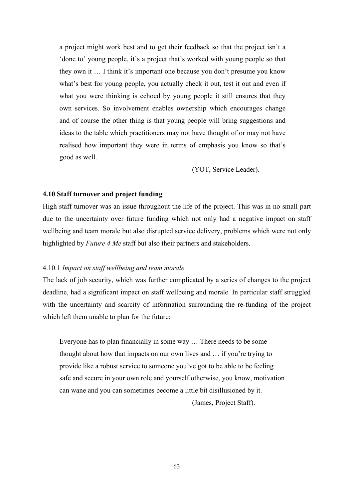a project might work best and to get their feedback so that the project isn't a 'done to' young people, it's a project that's worked with young people so that they own it … I think it's important one because you don't presume you know what's best for young people, you actually check it out, test it out and even if what you were thinking is echoed by young people it still ensures that they own services. So involvement enables ownership which encourages change and of course the other thing is that young people will bring suggestions and ideas to the table which practitioners may not have thought of or may not have realised how important they were in terms of emphasis you know so that's good as well.

(YOT, Service Leader).

## **4.10 Staff turnover and project funding**

High staff turnover was an issue throughout the life of the project. This was in no small part due to the uncertainty over future funding which not only had a negative impact on staff wellbeing and team morale but also disrupted service delivery, problems which were not only highlighted by *Future 4 Me* staff but also their partners and stakeholders.

#### 4.10.1 *Impact on staff wellbeing and team morale*

The lack of job security, which was further complicated by a series of changes to the project deadline, had a significant impact on staff wellbeing and morale. In particular staff struggled with the uncertainty and scarcity of information surrounding the re-funding of the project which left them unable to plan for the future:

Everyone has to plan financially in some way … There needs to be some thought about how that impacts on our own lives and … if you're trying to provide like a robust service to someone you've got to be able to be feeling safe and secure in your own role and yourself otherwise, you know, motivation can wane and you can sometimes become a little bit disillusioned by it.

(James, Project Staff).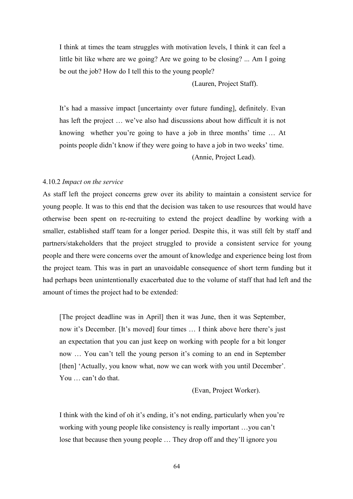I think at times the team struggles with motivation levels, I think it can feel a little bit like where are we going? Are we going to be closing? ... Am I going be out the job? How do I tell this to the young people?

(Lauren, Project Staff).

It's had a massive impact [uncertainty over future funding], definitely. Evan has left the project … we've also had discussions about how difficult it is not knowing whether you're going to have a job in three months' time … At points people didn't know if they were going to have a job in two weeks' time.

(Annie, Project Lead).

### 4.10.2 *Impact on the service*

As staff left the project concerns grew over its ability to maintain a consistent service for young people. It was to this end that the decision was taken to use resources that would have otherwise been spent on re-recruiting to extend the project deadline by working with a smaller, established staff team for a longer period. Despite this, it was still felt by staff and partners/stakeholders that the project struggled to provide a consistent service for young people and there were concerns over the amount of knowledge and experience being lost from the project team. This was in part an unavoidable consequence of short term funding but it had perhaps been unintentionally exacerbated due to the volume of staff that had left and the amount of times the project had to be extended:

[The project deadline was in April] then it was June, then it was September, now it's December. [It's moved] four times … I think above here there's just an expectation that you can just keep on working with people for a bit longer now … You can't tell the young person it's coming to an end in September [then] 'Actually, you know what, now we can work with you until December'. You … can't do that.

(Evan, Project Worker).

I think with the kind of oh it's ending, it's not ending, particularly when you're working with young people like consistency is really important …you can't lose that because then young people … They drop off and they'll ignore you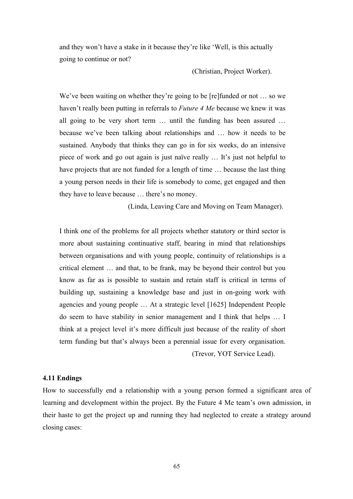and they won't have a stake in it because they're like 'Well, is this actually going to continue or not?

(Christian, Project Worker).

We've been waiting on whether they're going to be [re] funded or not ... so we haven't really been putting in referrals to *Future 4 Me* because we knew it was all going to be very short term … until the funding has been assured … because we've been talking about relationships and … how it needs to be sustained. Anybody that thinks they can go in for six weeks, do an intensive piece of work and go out again is just naïve really … It's just not helpful to have projects that are not funded for a length of time ... because the last thing a young person needs in their life is somebody to come, get engaged and then they have to leave because … there's no money.

(Linda, Leaving Care and Moving on Team Manager).

I think one of the problems for all projects whether statutory or third sector is more about sustaining continuative staff, bearing in mind that relationships between organisations and with young people, continuity of relationships is a critical element … and that, to be frank, may be beyond their control but you know as far as is possible to sustain and retain staff is critical in terms of building up, sustaining a knowledge base and just in on-going work with agencies and young people … At a strategic level [1625] Independent People do seem to have stability in senior management and I think that helps … I think at a project level it's more difficult just because of the reality of short term funding but that's always been a perennial issue for every organisation. (Trevor, YOT Service Lead).

### **4.11 Endings**

How to successfully end a relationship with a young person formed a significant area of learning and development within the project. By the Future 4 Me team's own admission, in their haste to get the project up and running they had neglected to create a strategy around closing cases: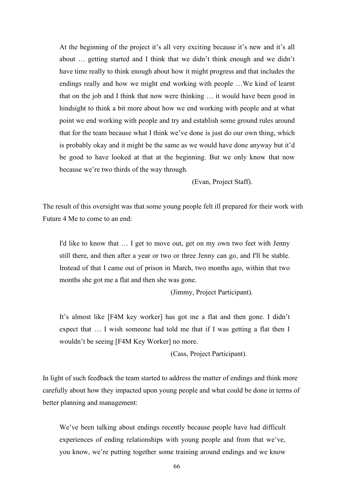At the beginning of the project it's all very exciting because it's new and it's all about … getting started and I think that we didn't think enough and we didn't have time really to think enough about how it might progress and that includes the endings really and how we might end working with people …We kind of learnt that on the job and I think that now were thinking … it would have been good in hindsight to think a bit more about how we end working with people and at what point we end working with people and try and establish some ground rules around that for the team because what I think we've done is just do our own thing, which is probably okay and it might be the same as we would have done anyway but it'd be good to have looked at that at the beginning. But we only know that now because we're two thirds of the way through.

(Evan, Project Staff).

The result of this oversight was that some young people felt ill prepared for their work with Future 4 Me to come to an end:

I'd like to know that … I get to move out, get on my own two feet with Jenny still there, and then after a year or two or three Jenny can go, and I'll be stable. Instead of that I came out of prison in March, two months ago, within that two months she got me a flat and then she was gone.

(Jimmy, Project Participant).

It's almost like [F4M key worker] has got me a flat and then gone. I didn't expect that … I wish someone had told me that if I was getting a flat then I wouldn't be seeing [F4M Key Worker] no more.

(Cass, Project Participant).

In light of such feedback the team started to address the matter of endings and think more carefully about how they impacted upon young people and what could be done in terms of better planning and management:

We've been talking about endings recently because people have had difficult experiences of ending relationships with young people and from that we've, you know, we're putting together some training around endings and we know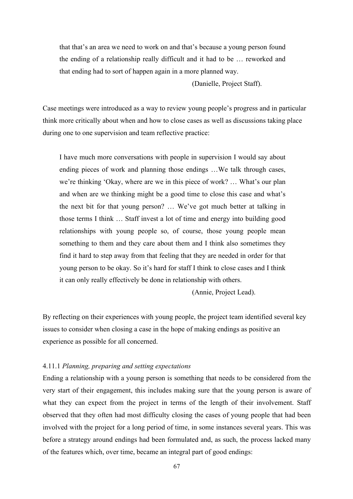that that's an area we need to work on and that's because a young person found the ending of a relationship really difficult and it had to be … reworked and that ending had to sort of happen again in a more planned way.

(Danielle, Project Staff).

Case meetings were introduced as a way to review young people's progress and in particular think more critically about when and how to close cases as well as discussions taking place during one to one supervision and team reflective practice:

I have much more conversations with people in supervision I would say about ending pieces of work and planning those endings …We talk through cases, we're thinking 'Okay, where are we in this piece of work? … What's our plan and when are we thinking might be a good time to close this case and what's the next bit for that young person? … We've got much better at talking in those terms I think … Staff invest a lot of time and energy into building good relationships with young people so, of course, those young people mean something to them and they care about them and I think also sometimes they find it hard to step away from that feeling that they are needed in order for that young person to be okay. So it's hard for staff I think to close cases and I think it can only really effectively be done in relationship with others.

(Annie, Project Lead).

By reflecting on their experiences with young people, the project team identified several key issues to consider when closing a case in the hope of making endings as positive an experience as possible for all concerned.

### 4.11.1 *Planning, preparing and setting expectations*

Ending a relationship with a young person is something that needs to be considered from the very start of their engagement, this includes making sure that the young person is aware of what they can expect from the project in terms of the length of their involvement. Staff observed that they often had most difficulty closing the cases of young people that had been involved with the project for a long period of time, in some instances several years. This was before a strategy around endings had been formulated and, as such, the process lacked many of the features which, over time, became an integral part of good endings: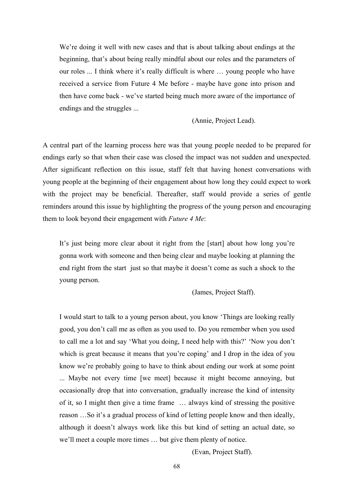We're doing it well with new cases and that is about talking about endings at the beginning, that's about being really mindful about our roles and the parameters of our roles ... I think where it's really difficult is where … young people who have received a service from Future 4 Me before - maybe have gone into prison and then have come back - we've started being much more aware of the importance of endings and the struggles ...

(Annie, Project Lead).

A central part of the learning process here was that young people needed to be prepared for endings early so that when their case was closed the impact was not sudden and unexpected. After significant reflection on this issue, staff felt that having honest conversations with young people at the beginning of their engagement about how long they could expect to work with the project may be beneficial. Thereafter, staff would provide a series of gentle reminders around this issue by highlighting the progress of the young person and encouraging them to look beyond their engagement with *Future 4 Me*:

It's just being more clear about it right from the [start] about how long you're gonna work with someone and then being clear and maybe looking at planning the end right from the start just so that maybe it doesn't come as such a shock to the young person.

(James, Project Staff).

I would start to talk to a young person about, you know 'Things are looking really good, you don't call me as often as you used to. Do you remember when you used to call me a lot and say 'What you doing, I need help with this?' 'Now you don't which is great because it means that you're coping' and I drop in the idea of you know we're probably going to have to think about ending our work at some point ... Maybe not every time [we meet] because it might become annoying, but occasionally drop that into conversation, gradually increase the kind of intensity of it, so I might then give a time frame … always kind of stressing the positive reason …So it's a gradual process of kind of letting people know and then ideally, although it doesn't always work like this but kind of setting an actual date, so we'll meet a couple more times … but give them plenty of notice.

(Evan, Project Staff).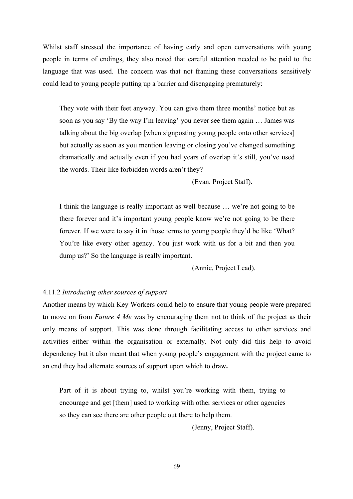Whilst staff stressed the importance of having early and open conversations with young people in terms of endings, they also noted that careful attention needed to be paid to the language that was used. The concern was that not framing these conversations sensitively could lead to young people putting up a barrier and disengaging prematurely:

They vote with their feet anyway. You can give them three months' notice but as soon as you say 'By the way I'm leaving' you never see them again … James was talking about the big overlap [when signposting young people onto other services] but actually as soon as you mention leaving or closing you've changed something dramatically and actually even if you had years of overlap it's still, you've used the words. Their like forbidden words aren't they?

(Evan, Project Staff).

I think the language is really important as well because … we're not going to be there forever and it's important young people know we're not going to be there forever. If we were to say it in those terms to young people they'd be like 'What? You're like every other agency. You just work with us for a bit and then you dump us?' So the language is really important.

(Annie, Project Lead).

# 4.11.2 *Introducing other sources of support*

Another means by which Key Workers could help to ensure that young people were prepared to move on from *Future 4 Me* was by encouraging them not to think of the project as their only means of support. This was done through facilitating access to other services and activities either within the organisation or externally. Not only did this help to avoid dependency but it also meant that when young people's engagement with the project came to an end they had alternate sources of support upon which to draw**.** 

Part of it is about trying to, whilst you're working with them, trying to encourage and get [them] used to working with other services or other agencies so they can see there are other people out there to help them.

(Jenny, Project Staff).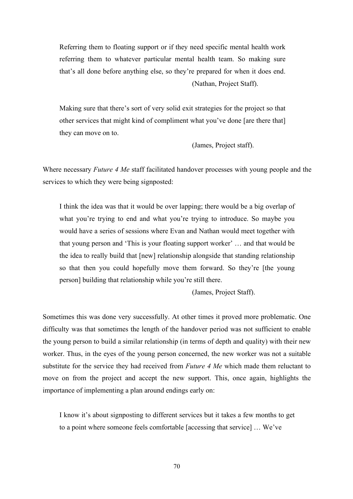Referring them to floating support or if they need specific mental health work referring them to whatever particular mental health team. So making sure that's all done before anything else, so they're prepared for when it does end. (Nathan, Project Staff).

Making sure that there's sort of very solid exit strategies for the project so that other services that might kind of compliment what you've done [are there that] they can move on to.

(James, Project staff).

Where necessary *Future 4 Me* staff facilitated handover processes with young people and the services to which they were being signposted:

I think the idea was that it would be over lapping; there would be a big overlap of what you're trying to end and what you're trying to introduce. So maybe you would have a series of sessions where Evan and Nathan would meet together with that young person and 'This is your floating support worker' … and that would be the idea to really build that [new] relationship alongside that standing relationship so that then you could hopefully move them forward. So they're [the young person] building that relationship while you're still there.

(James, Project Staff).

Sometimes this was done very successfully. At other times it proved more problematic. One difficulty was that sometimes the length of the handover period was not sufficient to enable the young person to build a similar relationship (in terms of depth and quality) with their new worker. Thus, in the eyes of the young person concerned, the new worker was not a suitable substitute for the service they had received from *Future 4 Me* which made them reluctant to move on from the project and accept the new support. This, once again, highlights the importance of implementing a plan around endings early on:

I know it's about signposting to different services but it takes a few months to get to a point where someone feels comfortable [accessing that service] … We've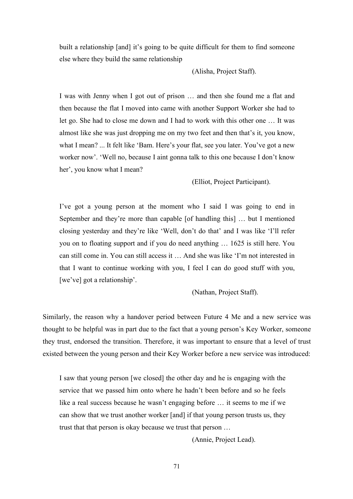built a relationship [and] it's going to be quite difficult for them to find someone else where they build the same relationship

(Alisha, Project Staff).

I was with Jenny when I got out of prison … and then she found me a flat and then because the flat I moved into came with another Support Worker she had to let go. She had to close me down and I had to work with this other one … It was almost like she was just dropping me on my two feet and then that's it, you know, what I mean? ... It felt like 'Bam. Here's your flat, see you later. You've got a new worker now'. 'Well no, because I aint gonna talk to this one because I don't know her', you know what I mean?

(Elliot, Project Participant).

I've got a young person at the moment who I said I was going to end in September and they're more than capable [of handling this] … but I mentioned closing yesterday and they're like 'Well, don't do that' and I was like 'I'll refer you on to floating support and if you do need anything … 1625 is still here. You can still come in. You can still access it … And she was like 'I'm not interested in that I want to continue working with you, I feel I can do good stuff with you, [we've] got a relationship'.

(Nathan, Project Staff).

Similarly, the reason why a handover period between Future 4 Me and a new service was thought to be helpful was in part due to the fact that a young person's Key Worker, someone they trust, endorsed the transition. Therefore, it was important to ensure that a level of trust existed between the young person and their Key Worker before a new service was introduced:

I saw that young person [we closed] the other day and he is engaging with the service that we passed him onto where he hadn't been before and so he feels like a real success because he wasn't engaging before … it seems to me if we can show that we trust another worker [and] if that young person trusts us, they trust that that person is okay because we trust that person …

(Annie, Project Lead).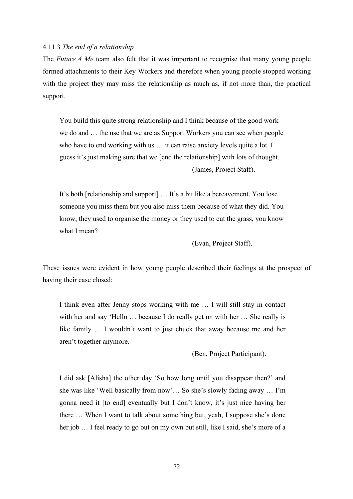## 4.11.3 *The end of a relationship*

The *Future 4 Me* team also felt that it was important to recognise that many young people formed attachments to their Key Workers and therefore when young people stopped working with the project they may miss the relationship as much as, if not more than, the practical support.

You build this quite strong relationship and I think because of the good work we do and … the use that we are as Support Workers you can see when people who have to end working with us … it can raise anxiety levels quite a lot. I guess it's just making sure that we [end the relationship] with lots of thought.

(James, Project Staff).

It's both [relationship and support] … It's a bit like a bereavement. You lose someone you miss them but you also miss them because of what they did. You know, they used to organise the money or they used to cut the grass, you know what I mean?

(Evan, Project Staff).

These issues were evident in how young people described their feelings at the prospect of having their case closed:

I think even after Jenny stops working with me … I will still stay in contact with her and say 'Hello ... because I do really get on with her ... She really is like family … I wouldn't want to just chuck that away because me and her aren't together anymore.

(Ben, Project Participant).

I did ask [Alisha] the other day 'So how long until you disappear then?' and she was like 'Well basically from now'… So she's slowly fading away … I'm gonna need it [to end] eventually but I don't know, it's just nice having her there … When I want to talk about something but, yeah, I suppose she's done her job … I feel ready to go out on my own but still, like I said, she's more of a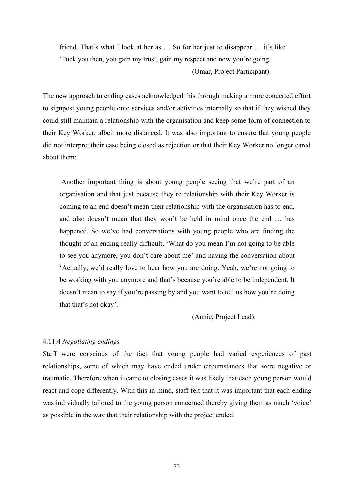friend. That's what I look at her as … So for her just to disappear … it's like 'Fuck you then, you gain my trust, gain my respect and now you're going. (Omar, Project Participant).

The new approach to ending cases acknowledged this through making a more concerted effort to signpost young people onto services and/or activities internally so that if they wished they could still maintain a relationship with the organisation and keep some form of connection to their Key Worker, albeit more distanced. It was also important to ensure that young people did not interpret their case being closed as rejection or that their Key Worker no longer cared about them:

Another important thing is about young people seeing that we're part of an organisation and that just because they're relationship with their Key Worker is coming to an end doesn't mean their relationship with the organisation has to end, and also doesn't mean that they won't be held in mind once the end … has happened. So we've had conversations with young people who are finding the thought of an ending really difficult, 'What do you mean I'm not going to be able to see you anymore, you don't care about me' and having the conversation about 'Actually, we'd really love to hear how you are doing. Yeah, we're not going to be working with you anymore and that's because you're able to be independent. It doesn't mean to say if you're passing by and you want to tell us how you're doing that that's not okay'.

(Annie, Project Lead).

# 4.11.4 *Negotiating endings*

Staff were conscious of the fact that young people had varied experiences of past relationships, some of which may have ended under circumstances that were negative or traumatic. Therefore when it came to closing cases it was likely that each young person would react and cope differently. With this in mind, staff felt that it was important that each ending was individually tailored to the young person concerned thereby giving them as much 'voice' as possible in the way that their relationship with the project ended: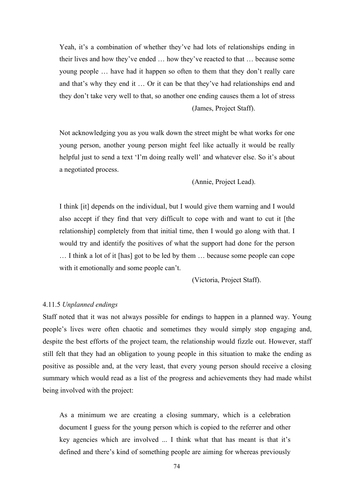Yeah, it's a combination of whether they've had lots of relationships ending in their lives and how they've ended … how they've reacted to that … because some young people … have had it happen so often to them that they don't really care and that's why they end it … Or it can be that they've had relationships end and they don't take very well to that, so another one ending causes them a lot of stress (James, Project Staff).

Not acknowledging you as you walk down the street might be what works for one young person, another young person might feel like actually it would be really helpful just to send a text 'I'm doing really well' and whatever else. So it's about a negotiated process.

(Annie, Project Lead).

I think [it] depends on the individual, but I would give them warning and I would also accept if they find that very difficult to cope with and want to cut it [the relationship] completely from that initial time, then I would go along with that. I would try and identify the positives of what the support had done for the person … I think a lot of it [has] got to be led by them … because some people can cope with it emotionally and some people can't.

(Victoria, Project Staff).

## 4.11.5 *Unplanned endings*

Staff noted that it was not always possible for endings to happen in a planned way. Young people's lives were often chaotic and sometimes they would simply stop engaging and, despite the best efforts of the project team, the relationship would fizzle out. However, staff still felt that they had an obligation to young people in this situation to make the ending as positive as possible and, at the very least, that every young person should receive a closing summary which would read as a list of the progress and achievements they had made whilst being involved with the project:

As a minimum we are creating a closing summary, which is a celebration document I guess for the young person which is copied to the referrer and other key agencies which are involved ... I think what that has meant is that it's defined and there's kind of something people are aiming for whereas previously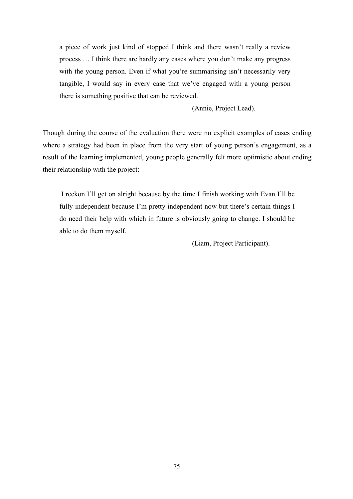a piece of work just kind of stopped I think and there wasn't really a review process … I think there are hardly any cases where you don't make any progress with the young person. Even if what you're summarising isn't necessarily very tangible, I would say in every case that we've engaged with a young person there is something positive that can be reviewed.

(Annie, Project Lead).

Though during the course of the evaluation there were no explicit examples of cases ending where a strategy had been in place from the very start of young person's engagement, as a result of the learning implemented, young people generally felt more optimistic about ending their relationship with the project:

I reckon I'll get on alright because by the time I finish working with Evan I'll be fully independent because I'm pretty independent now but there's certain things I do need their help with which in future is obviously going to change. I should be able to do them myself.

(Liam, Project Participant).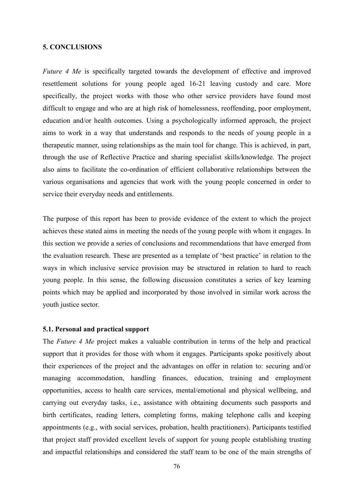## **5. CONCLUSIONS**

*Future 4 Me* is specifically targeted towards the development of effective and improved resettlement solutions for young people aged 16-21 leaving custody and care. More specifically, the project works with those who other service providers have found most difficult to engage and who are at high risk of homelessness, reoffending, poor employment, education and/or health outcomes. Using a psychologically informed approach, the project aims to work in a way that understands and responds to the needs of young people in a therapeutic manner, using relationships as the main tool for change. This is achieved, in part, through the use of Reflective Practice and sharing specialist skills/knowledge. The project also aims to facilitate the co-ordination of efficient collaborative relationships between the various organisations and agencies that work with the young people concerned in order to service their everyday needs and entitlements.

The purpose of this report has been to provide evidence of the extent to which the project achieves these stated aims in meeting the needs of the young people with whom it engages. In this section we provide a series of conclusions and recommendations that have emerged from the evaluation research. These are presented as a template of 'best practice' in relation to the ways in which inclusive service provision may be structured in relation to hard to reach young people. In this sense, the following discussion constitutes a series of key learning points which may be applied and incorporated by those involved in similar work across the youth justice sector.

#### **5.1. Personal and practical support**

The *Future 4 Me* project makes a valuable contribution in terms of the help and practical support that it provides for those with whom it engages. Participants spoke positively about their experiences of the project and the advantages on offer in relation to: securing and/or managing accommodation, handling finances, education, training and employment opportunities, access to health care services, mental/emotional and physical wellbeing, and carrying out everyday tasks, i.e., assistance with obtaining documents such passports and birth certificates, reading letters, completing forms, making telephone calls and keeping appointments (e.g., with social services, probation, health practitioners). Participants testified that project staff provided excellent levels of support for young people establishing trusting and impactful relationships and considered the staff team to be one of the main strengths of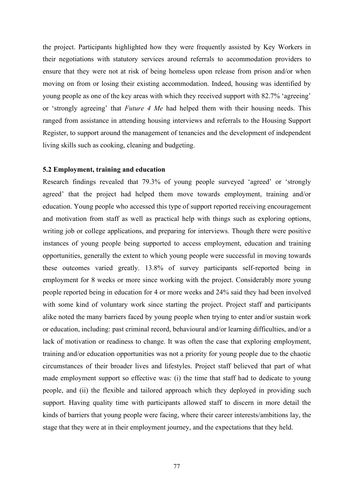the project. Participants highlighted how they were frequently assisted by Key Workers in their negotiations with statutory services around referrals to accommodation providers to ensure that they were not at risk of being homeless upon release from prison and/or when moving on from or losing their existing accommodation. Indeed, housing was identified by young people as one of the key areas with which they received support with 82.7% 'agreeing' or 'strongly agreeing' that *Future 4 Me* had helped them with their housing needs. This ranged from assistance in attending housing interviews and referrals to the Housing Support Register, to support around the management of tenancies and the development of independent living skills such as cooking, cleaning and budgeting.

# **5.2 Employment, training and education**

Research findings revealed that 79.3% of young people surveyed 'agreed' or 'strongly agreed' that the project had helped them move towards employment, training and/or education. Young people who accessed this type of support reported receiving encouragement and motivation from staff as well as practical help with things such as exploring options, writing job or college applications, and preparing for interviews. Though there were positive instances of young people being supported to access employment, education and training opportunities, generally the extent to which young people were successful in moving towards these outcomes varied greatly. 13.8% of survey participants self-reported being in employment for 8 weeks or more since working with the project. Considerably more young people reported being in education for 4 or more weeks and 24% said they had been involved with some kind of voluntary work since starting the project. Project staff and participants alike noted the many barriers faced by young people when trying to enter and/or sustain work or education, including: past criminal record, behavioural and/or learning difficulties, and/or a lack of motivation or readiness to change. It was often the case that exploring employment, training and/or education opportunities was not a priority for young people due to the chaotic circumstances of their broader lives and lifestyles. Project staff believed that part of what made employment support so effective was: (i) the time that staff had to dedicate to young people, and (ii) the flexible and tailored approach which they deployed in providing such support. Having quality time with participants allowed staff to discern in more detail the kinds of barriers that young people were facing, where their career interests/ambitions lay, the stage that they were at in their employment journey, and the expectations that they held.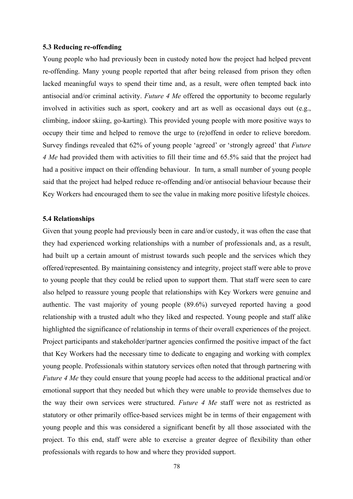## **5.3 Reducing re-offending**

Young people who had previously been in custody noted how the project had helped prevent re-offending. Many young people reported that after being released from prison they often lacked meaningful ways to spend their time and, as a result, were often tempted back into antisocial and/or criminal activity. *Future 4 Me* offered the opportunity to become regularly involved in activities such as sport, cookery and art as well as occasional days out (e.g., climbing, indoor skiing, go-karting). This provided young people with more positive ways to occupy their time and helped to remove the urge to (re)offend in order to relieve boredom. Survey findings revealed that 62% of young people 'agreed' or 'strongly agreed' that *Future 4 Me* had provided them with activities to fill their time and 65.5% said that the project had had a positive impact on their offending behaviour. In turn, a small number of young people said that the project had helped reduce re-offending and/or antisocial behaviour because their Key Workers had encouraged them to see the value in making more positive lifestyle choices.

## **5.4 Relationships**

Given that young people had previously been in care and/or custody, it was often the case that they had experienced working relationships with a number of professionals and, as a result, had built up a certain amount of mistrust towards such people and the services which they offered/represented. By maintaining consistency and integrity, project staff were able to prove to young people that they could be relied upon to support them. That staff were seen to care also helped to reassure young people that relationships with Key Workers were genuine and authentic. The vast majority of young people (89.6%) surveyed reported having a good relationship with a trusted adult who they liked and respected. Young people and staff alike highlighted the significance of relationship in terms of their overall experiences of the project. Project participants and stakeholder/partner agencies confirmed the positive impact of the fact that Key Workers had the necessary time to dedicate to engaging and working with complex young people. Professionals within statutory services often noted that through partnering with *Future 4 Me* they could ensure that young people had access to the additional practical and/or emotional support that they needed but which they were unable to provide themselves due to the way their own services were structured. *Future 4 Me* staff were not as restricted as statutory or other primarily office-based services might be in terms of their engagement with young people and this was considered a significant benefit by all those associated with the project. To this end, staff were able to exercise a greater degree of flexibility than other professionals with regards to how and where they provided support.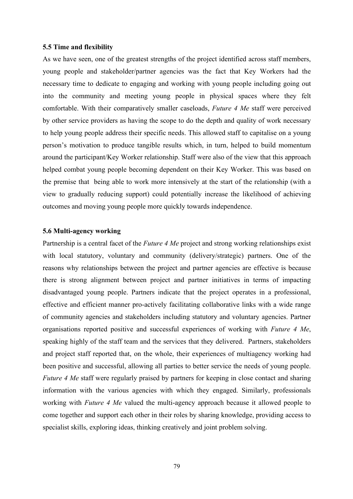#### **5.5 Time and flexibility**

As we have seen, one of the greatest strengths of the project identified across staff members, young people and stakeholder/partner agencies was the fact that Key Workers had the necessary time to dedicate to engaging and working with young people including going out into the community and meeting young people in physical spaces where they felt comfortable. With their comparatively smaller caseloads, *Future 4 Me* staff were perceived by other service providers as having the scope to do the depth and quality of work necessary to help young people address their specific needs. This allowed staff to capitalise on a young person's motivation to produce tangible results which, in turn, helped to build momentum around the participant/Key Worker relationship. Staff were also of the view that this approach helped combat young people becoming dependent on their Key Worker. This was based on the premise that being able to work more intensively at the start of the relationship (with a view to gradually reducing support) could potentially increase the likelihood of achieving outcomes and moving young people more quickly towards independence.

## **5.6 Multi-agency working**

Partnership is a central facet of the *Future 4 Me* project and strong working relationships exist with local statutory, voluntary and community (delivery/strategic) partners. One of the reasons why relationships between the project and partner agencies are effective is because there is strong alignment between project and partner initiatives in terms of impacting disadvantaged young people. Partners indicate that the project operates in a professional, effective and efficient manner pro-actively facilitating collaborative links with a wide range of community agencies and stakeholders including statutory and voluntary agencies. Partner organisations reported positive and successful experiences of working with *Future 4 Me*, speaking highly of the staff team and the services that they delivered. Partners, stakeholders and project staff reported that, on the whole, their experiences of multiagency working had been positive and successful, allowing all parties to better service the needs of young people. *Future 4 Me* staff were regularly praised by partners for keeping in close contact and sharing information with the various agencies with which they engaged. Similarly, professionals working with *Future 4 Me* valued the multi-agency approach because it allowed people to come together and support each other in their roles by sharing knowledge, providing access to specialist skills, exploring ideas, thinking creatively and joint problem solving.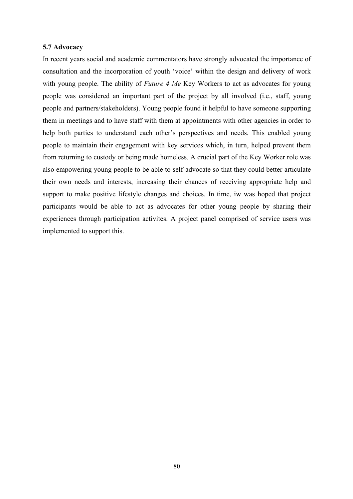## **5.7 Advocacy**

In recent years social and academic commentators have strongly advocated the importance of consultation and the incorporation of youth 'voice' within the design and delivery of work with young people. The ability of *Future 4 Me* Key Workers to act as advocates for young people was considered an important part of the project by all involved (i.e., staff, young people and partners/stakeholders). Young people found it helpful to have someone supporting them in meetings and to have staff with them at appointments with other agencies in order to help both parties to understand each other's perspectives and needs. This enabled young people to maintain their engagement with key services which, in turn, helped prevent them from returning to custody or being made homeless. A crucial part of the Key Worker role was also empowering young people to be able to self-advocate so that they could better articulate their own needs and interests, increasing their chances of receiving appropriate help and support to make positive lifestyle changes and choices. In time, iw was hoped that project participants would be able to act as advocates for other young people by sharing their experiences through participation activites. A project panel comprised of service users was implemented to support this.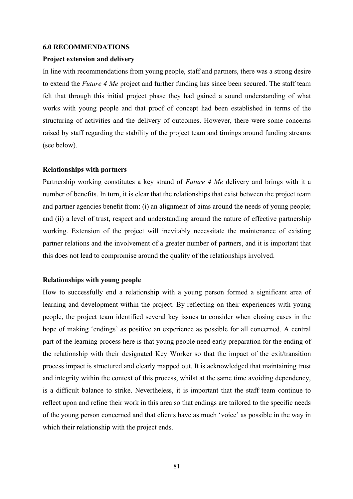#### **6.0 RECOMMENDATIONS**

#### **Project extension and delivery**

In line with recommendations from young people, staff and partners, there was a strong desire to extend the *Future 4 Me* project and further funding has since been secured. The staff team felt that through this initial project phase they had gained a sound understanding of what works with young people and that proof of concept had been established in terms of the structuring of activities and the delivery of outcomes. However, there were some concerns raised by staff regarding the stability of the project team and timings around funding streams (see below).

#### **Relationships with partners**

Partnership working constitutes a key strand of *Future 4 Me* delivery and brings with it a number of benefits. In turn, it is clear that the relationships that exist between the project team and partner agencies benefit from: (i) an alignment of aims around the needs of young people; and (ii) a level of trust, respect and understanding around the nature of effective partnership working. Extension of the project will inevitably necessitate the maintenance of existing partner relations and the involvement of a greater number of partners, and it is important that this does not lead to compromise around the quality of the relationships involved.

## **Relationships with young people**

How to successfully end a relationship with a young person formed a significant area of learning and development within the project. By reflecting on their experiences with young people, the project team identified several key issues to consider when closing cases in the hope of making 'endings' as positive an experience as possible for all concerned. A central part of the learning process here is that young people need early preparation for the ending of the relationship with their designated Key Worker so that the impact of the exit/transition process impact is structured and clearly mapped out. It is acknowledged that maintaining trust and integrity within the context of this process, whilst at the same time avoiding dependency, is a difficult balance to strike. Nevertheless, it is important that the staff team continue to reflect upon and refine their work in this area so that endings are tailored to the specific needs of the young person concerned and that clients have as much 'voice' as possible in the way in which their relationship with the project ends.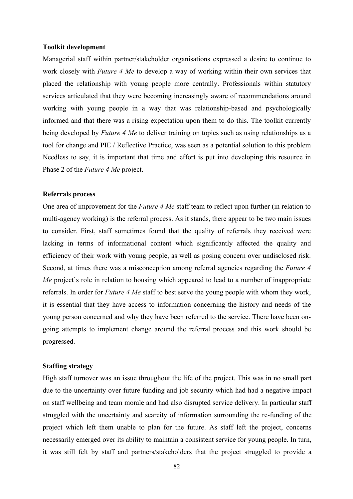### **Toolkit development**

Managerial staff within partner/stakeholder organisations expressed a desire to continue to work closely with *Future 4 Me* to develop a way of working within their own services that placed the relationship with young people more centrally. Professionals within statutory services articulated that they were becoming increasingly aware of recommendations around working with young people in a way that was relationship-based and psychologically informed and that there was a rising expectation upon them to do this. The toolkit currently being developed by *Future 4 Me* to deliver training on topics such as using relationships as a tool for change and PIE / Reflective Practice, was seen as a potential solution to this problem Needless to say, it is important that time and effort is put into developing this resource in Phase 2 of the *Future 4 Me* project.

#### **Referrals process**

One area of improvement for the *Future 4 Me* staff team to reflect upon further (in relation to multi-agency working) is the referral process. As it stands, there appear to be two main issues to consider. First, staff sometimes found that the quality of referrals they received were lacking in terms of informational content which significantly affected the quality and efficiency of their work with young people, as well as posing concern over undisclosed risk. Second, at times there was a misconception among referral agencies regarding the *Future 4 Me* project's role in relation to housing which appeared to lead to a number of inappropriate referrals. In order for *Future 4 Me* staff to best serve the young people with whom they work, it is essential that they have access to information concerning the history and needs of the young person concerned and why they have been referred to the service. There have been ongoing attempts to implement change around the referral process and this work should be progressed.

# **Staffing strategy**

High staff turnover was an issue throughout the life of the project. This was in no small part due to the uncertainty over future funding and job security which had had a negative impact on staff wellbeing and team morale and had also disrupted service delivery. In particular staff struggled with the uncertainty and scarcity of information surrounding the re-funding of the project which left them unable to plan for the future. As staff left the project, concerns necessarily emerged over its ability to maintain a consistent service for young people. In turn, it was still felt by staff and partners/stakeholders that the project struggled to provide a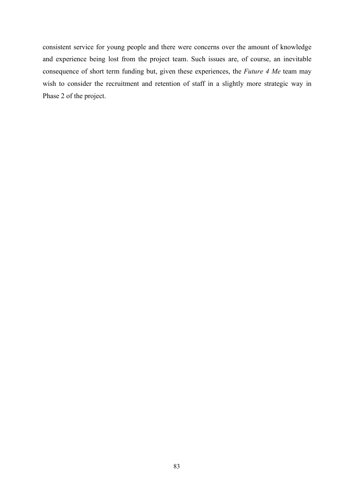consistent service for young people and there were concerns over the amount of knowledge and experience being lost from the project team. Such issues are, of course, an inevitable consequence of short term funding but, given these experiences, the *Future 4 Me* team may wish to consider the recruitment and retention of staff in a slightly more strategic way in Phase 2 of the project.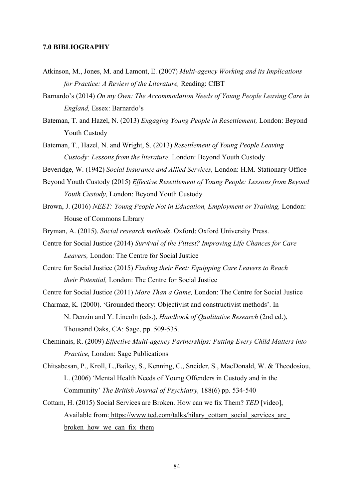## **7.0 BIBLIOGRAPHY**

- Atkinson, M., Jones, M. and Lamont, E. (2007) *Multi-agency Working and its Implications for Practice: A Review of the Literature,* Reading: CfBT
- Barnardo's (2014) *On my Own: The Accommodation Needs of Young People Leaving Care in England,* Essex: Barnardo's
- Bateman, T. and Hazel, N. (2013) *Engaging Young People in Resettlement,* London: Beyond Youth Custody
- Bateman, T., Hazel, N. and Wright, S. (2013) *Resettlement of Young People Leaving Custody: Lessons from the literature,* London: Beyond Youth Custody
- Beveridge, W. (1942) *Social Insurance and Allied Services,* London: H.M. Stationary Office
- Beyond Youth Custody (2015) *Effective Resettlement of Young People: Lessons from Beyond Youth Custody,* London: Beyond Youth Custody
- Brown, J. (2016) *NEET: Young People Not in Education, Employment or Training,* London: House of Commons Library
- Bryman, A. (2015). *Social research methods*. Oxford: Oxford University Press.
- Centre for Social Justice (2014) *Survival of the Fittest? Improving Life Chances for Care Leavers,* London: The Centre for Social Justice
- Centre for Social Justice (2015) *Finding their Feet: Equipping Care Leavers to Reach their Potential,* London: The Centre for Social Justice
- Centre for Social Justice (2011) *More Than a Game,* London: The Centre for Social Justice
- Charmaz, K. (2000). 'Grounded theory: Objectivist and constructivist methods'. In N. Denzin and Y. Lincoln (eds.), *Handbook of Qualitative Research* (2nd ed.), Thousand Oaks, CA: Sage, pp. 509-535.
- Cheminais, R. (2009) *Effective Multi-agency Partnerships: Putting Every Child Matters into Practice,* London: Sage Publications
- Chitsabesan, P., Kroll, L.,Bailey, S., Kenning, C., Sneider, S., MacDonald, W. & Theodosiou, L. (2006) 'Mental Health Needs of Young Offenders in Custody and in the Community' *The British Journal of Psychiatry,* 188(6) pp. 534-540
- Cottam, H. (2015) Social Services are Broken. How can we fix Them? *TED* [video], Available from: https://www.ted.com/talks/hilary\_cottam\_social\_services\_are broken how we can fix them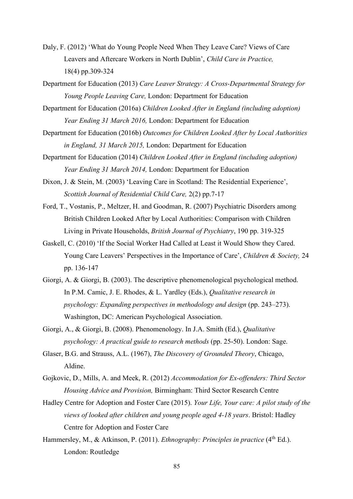- Daly, F. (2012) 'What do Young People Need When They Leave Care? Views of Care Leavers and Aftercare Workers in North Dublin', *Child Care in Practice,*  18(4) pp.309-324
- Department for Education (2013) *Care Leaver Strategy: A Cross-Departmental Strategy for Young People Leaving Care,* London: Department for Education
- Department for Education (2016a) *Children Looked After in England (including adoption) Year Ending 31 March 2016,* London: Department for Education
- Department for Education (2016b) *Outcomes for Children Looked After by Local Authorities in England, 31 March 2015,* London: Department for Education
- Department for Education (2014) *Children Looked After in England (including adoption) Year Ending 31 March 2014,* London: Department for Education
- Dixon, J. & Stein, M. (2003) 'Leaving Care in Scotland: The Residential Experience', *Scottish Journal of Residential Child Care,* 2(2) pp.7-17
- Ford, T., Vostanis, P., Meltzer, H. and Goodman, R. (2007) Psychiatric Disorders among British Children Looked After by Local Authorities: Comparison with Children Living in Private Households, *British Journal of Psychiatry*, 190 pp. 319-325
- Gaskell, C. (2010) 'If the Social Worker Had Called at Least it Would Show they Cared. Young Care Leavers' Perspectives in the Importance of Care', *Children & Society,* 24 pp. 136-147
- Giorgi, A. & Giorgi, B. (2003). The descriptive phenomenological psychological method. In P.M. Camic, J. E. Rhodes, & L. Yardley (Eds.), *Qualitative research in psychology: Expanding perspectives in methodology and design* (pp. 243–273). Washington, DC: American Psychological Association.
- Giorgi, A., & Giorgi, B. (2008). Phenomenology. In J.A. Smith (Ed.), *Qualitative psychology: A practical guide to research methods* (pp. 25-50). London: Sage.
- Glaser, B.G. and Strauss, A.L. (1967), *The Discovery of Grounded Theory*, Chicago, Aldine.
- Gojkovic, D., Mills, A. and Meek, R. (2012) *Accommodation for Ex-offenders: Third Sector Housing Advice and Provision,* Birmingham: Third Sector Research Centre
- Hadley Centre for Adoption and Foster Care (2015). *Your Life, Your care: A pilot study of the views of looked after children and young people aged 4-18 years*. Bristol: Hadley Centre for Adoption and Foster Care
- Hammersley, M., & Atkinson, P. (2011). *Ethnography: Principles in practice* (4<sup>th</sup> Ed.). London: Routledge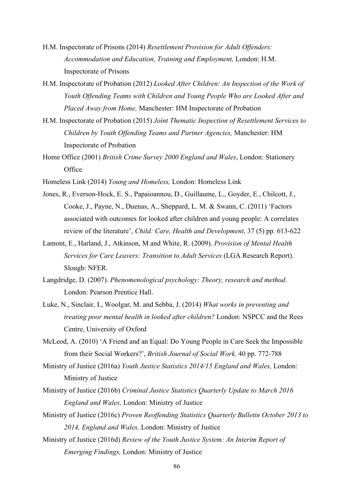- H.M. Inspectorate of Prisons (2014) *Resettlement Provision for Adult Offenders: Accommodation and Education, Training and Employment,* London: H.M. Inspectorate of Prisons
- H.M. Inspectorate of Probation (2012) *Looked After Children: An Inspection of the Work of Youth Offending Teams with Children and Young People Who are Looked After and Placed Away from Home,* Manchester: HM Inspectorate of Probation
- H.M. Inspectorate of Probation (2015) *Joint Thematic Inspection of Resettlement Services to Children by Youth Offending Teams and Partner Agencies,* Manchester: HM Inspectorate of Probation
- Home Office (2001) *British Crime Survey 2000 England and Wales*, London: Stationery **Office**
- Homeless Link (2014) *Young and Homeless,* London: Homeless Link
- Jones, R., Everson-Hock, E. S., Papaioannou, D., Guillaume, L., Goyder, E., Chilcott, J., Cooke, J., Payne, N., Duenas, A., Sheppard, L. M. & Swann, C. (2011) 'Factors associated with outcomes for looked after children and young people: A correlates review of the literature', *Child: Care, Health and Development*, 37 (5) pp. 613-622
- Lamont, E., Harland, J., Atkinson, M and White, R. (2009). *Provision of Mental Health Services for Care Leavers: Transition to Adult Services* (LGA Research Report). Slough: NFER.
- Langdridge, D. (2007). *Phenomenological psychology: Theory, research and method*. London: Pearson Prentice Hall.
- Luke, N., Sinclair, I., Woolgar, M. and Sebba, J. (2014) *What works in preventing and treating poor mental health in looked after children?* London: NSPCC and the Rees Centre, University of Oxford
- McLeod, A. (2010) 'A Friend and an Equal: Do Young People in Care Seek the Impossible from their Social Workers?', *British Journal of Social Work,* 40 pp. 772-788
- Ministry of Justice (2016a) *Youth Justice Statistics 2014/15 England and Wales,* London: Ministry of Justice
- Ministry of Justice (2016b) *Criminal Justice Statistics Quarterly Update to March 2016 England and Wales,* London: Ministry of Justice
- Ministry of Justice (2016c) *Proven Reoffending Statistics Quarterly Bulletin October 2013 to 2014, England and Wales,* London: Ministry of Justice
- Ministry of Justice (2016d) *Review of the Youth Justice System: An Interim Report of Emerging Findings,* London: Ministry of Justice